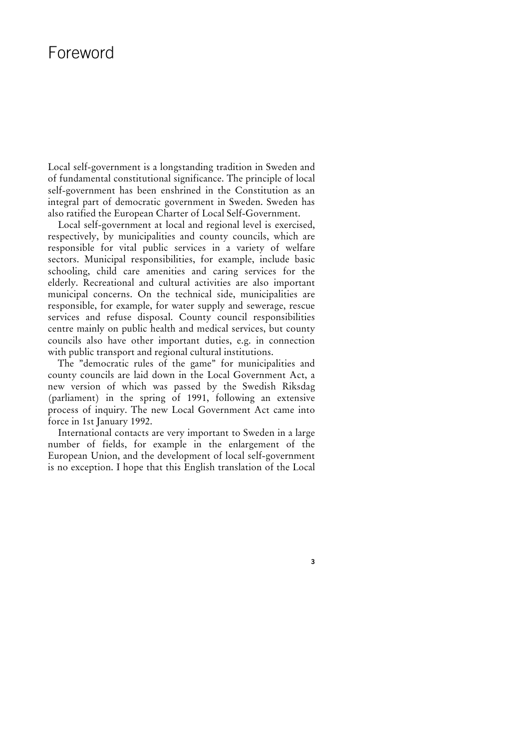## Foreword

Local self-government is a longstanding tradition in Sweden and of fundamental constitutional significance. The principle of local self-government has been enshrined in the Constitution as an integral part of democratic government in Sweden. Sweden has also ratified the European Charter of Local Self-Government.

Local self-government at local and regional level is exercised, respectively, by municipalities and county councils, which are responsible for vital public services in a variety of welfare sectors. Municipal responsibilities, for example, include basic schooling, child care amenities and caring services for the elderly. Recreational and cultural activities are also important municipal concerns. On the technical side, municipalities are responsible, for example, for water supply and sewerage, rescue services and refuse disposal. County council responsibilities centre mainly on public health and medical services, but county councils also have other important duties, e.g. in connection with public transport and regional cultural institutions.

The "democratic rules of the game" for municipalities and county councils are laid down in the Local Government Act, a new version of which was passed by the Swedish Riksdag (parliament) in the spring of 1991, following an extensive process of inquiry. The new Local Government Act came into force in 1st January 1992.

International contacts are very important to Sweden in a large number of fields, for example in the enlargement of the European Union, and the development of local self-government is no exception. I hope that this English translation of the Local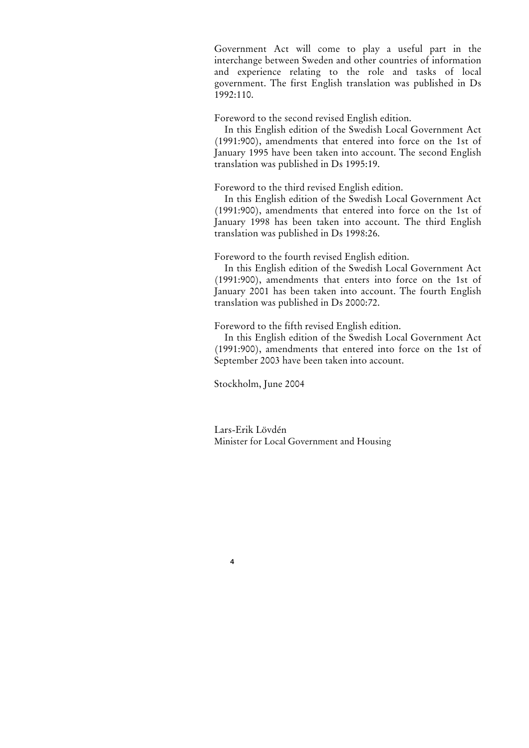Government Act will come to play a useful part in the interchange between Sweden and other countries of information and experience relating to the role and tasks of local government. The first English translation was published in Ds 1992:110.

Foreword to the second revised English edition.

In this English edition of the Swedish Local Government Act (1991:900), amendments that entered into force on the 1st of January 1995 have been taken into account. The second English translation was published in Ds 1995:19.

Foreword to the third revised English edition.

In this English edition of the Swedish Local Government Act (1991:900), amendments that entered into force on the 1st of January 1998 has been taken into account. The third English translation was published in Ds 1998:26.

Foreword to the fourth revised English edition.

In this English edition of the Swedish Local Government Act (1991:900), amendments that enters into force on the 1st of January 2001 has been taken into account. The fourth English translation was published in Ds 2000:72.

Foreword to the fifth revised English edition.

In this English edition of the Swedish Local Government Act (1991:900), amendments that entered into force on the 1st of September 2003 have been taken into account.

Stockholm, June 2004

4

Lars-Erik Lövdén Minister for Local Government and Housing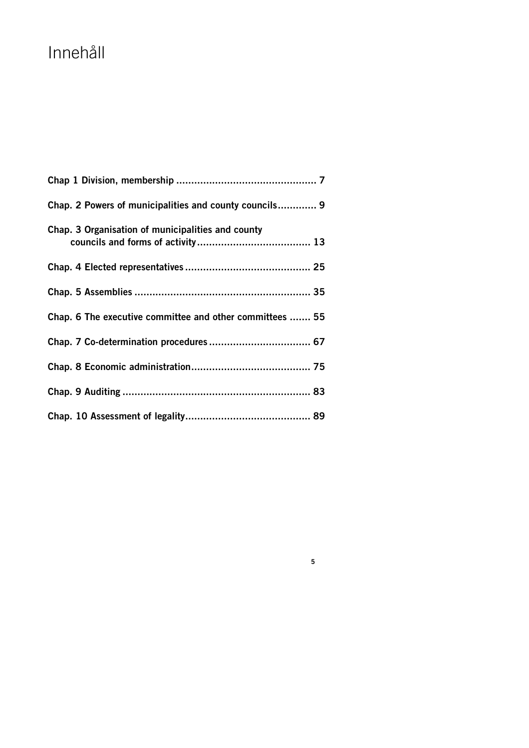# Innehåll

| Chap. 2 Powers of municipalities and county councils 9   |
|----------------------------------------------------------|
| Chap. 3 Organisation of municipalities and county        |
|                                                          |
|                                                          |
| Chap. 6 The executive committee and other committees  55 |
|                                                          |
|                                                          |
|                                                          |
|                                                          |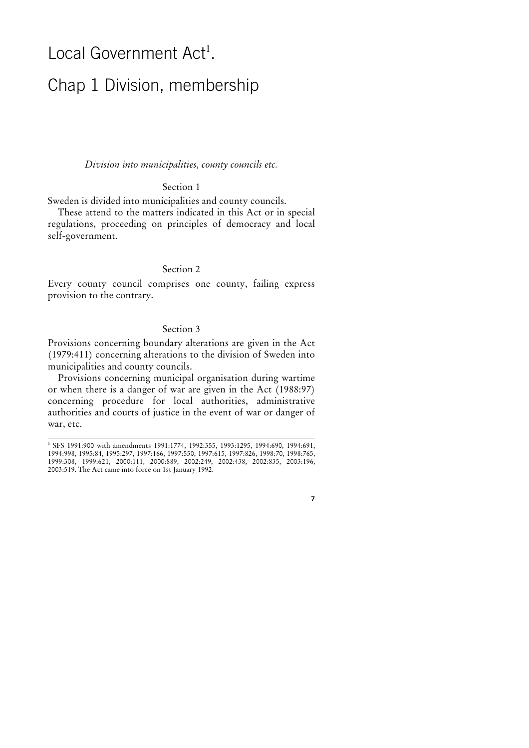## Local Government Act*<sup>1</sup>* .

## Chap 1 Division, membership

Division into municipalities, county councils etc.

## Section 1

Sweden is divided into municipalities and county councils.

These attend to the matters indicated in this Act or in special regulations, proceeding on principles of democracy and local self-government.

## Section 2

Every county council comprises one county, failing express provision to the contrary.

## Section 3

Provisions concerning boundary alterations are given in the Act (1979:411) concerning alterations to the division of Sweden into municipalities and county councils.

Provisions concerning municipal organisation during wartime or when there is a danger of war are given in the Act (1988:97) concerning procedure for local authorities, administrative authorities and courts of justice in the event of war or danger of war, etc.

 $\overline{a}$ 

*<sup>1</sup>* SFS 1991:900 with amendments 1991:1774, 1992:355, 1993:1295, 1994:690, 1994:691, 1994:998, 1995:84, 1995:297, 1997:166, 1997:550, 1997:615, 1997:826, 1998:70, 1998:765, 1999:308, 1999:621, 2000:111, 2000:889, 2002:249, 2002:438, 2002:835, 2003:196, 2003:519. The Act came into force on 1st January 1992.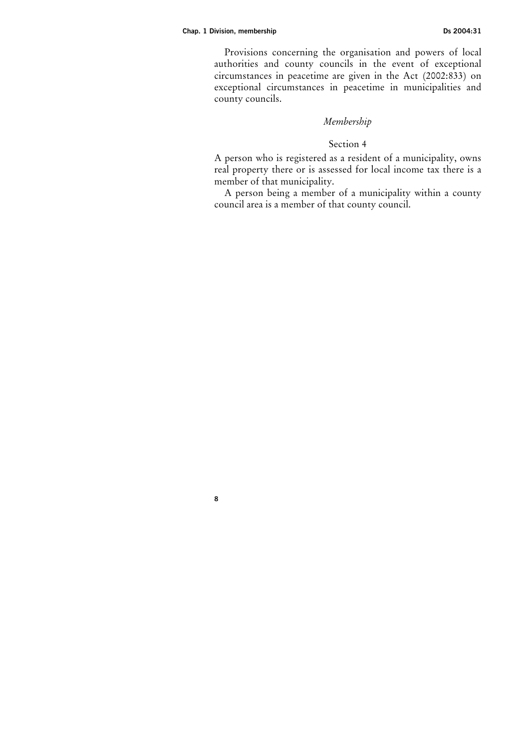#### Chap. 1 Division, membership Ds 2004:31

8

Provisions concerning the organisation and powers of local authorities and county councils in the event of exceptional circumstances in peacetime are given in the Act (2002:833) on exceptional circumstances in peacetime in municipalities and county councils.

## Membership

#### Section 4

A person who is registered as a resident of a municipality, owns real property there or is assessed for local income tax there is a member of that municipality.

A person being a member of a municipality within a county council area is a member of that county council.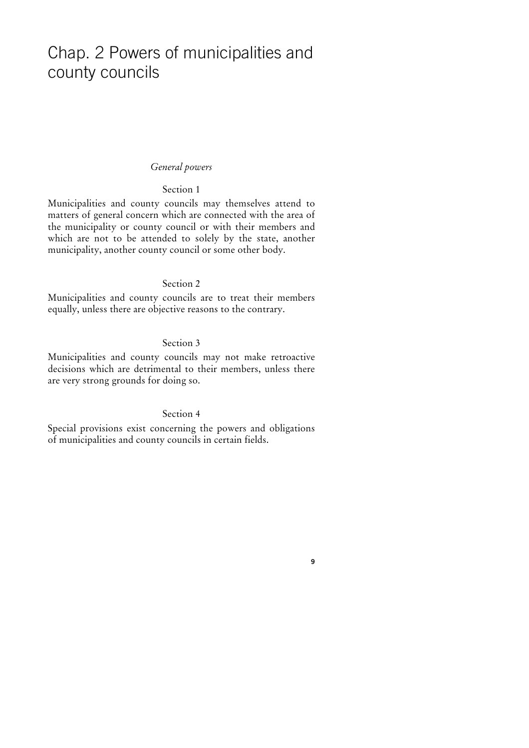## Chap. 2 Powers of municipalities and county councils

#### General powers

## Section 1

Municipalities and county councils may themselves attend to matters of general concern which are connected with the area of the municipality or county council or with their members and which are not to be attended to solely by the state, another municipality, another county council or some other body.

## Section 2

Municipalities and county councils are to treat their members equally, unless there are objective reasons to the contrary.

## Section 3

Municipalities and county councils may not make retroactive decisions which are detrimental to their members, unless there are very strong grounds for doing so.

#### Section 4

Special provisions exist concerning the powers and obligations of municipalities and county councils in certain fields.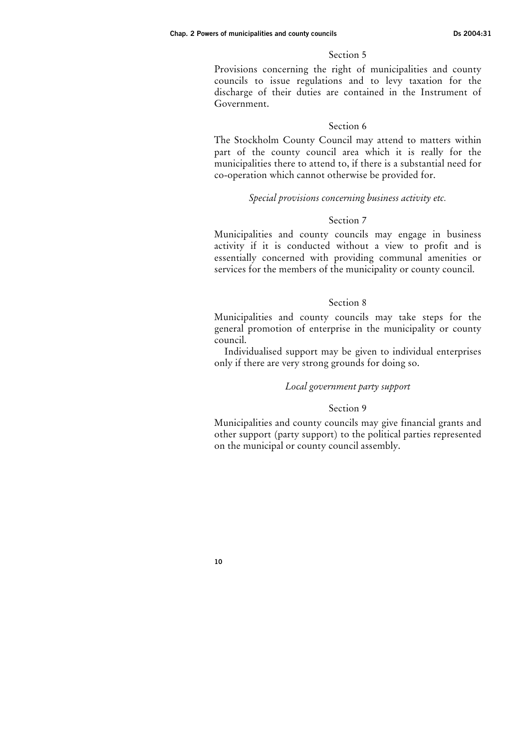Provisions concerning the right of municipalities and county councils to issue regulations and to levy taxation for the discharge of their duties are contained in the Instrument of Government.

### Section 6

The Stockholm County Council may attend to matters within part of the county council area which it is really for the municipalities there to attend to, if there is a substantial need for co-operation which cannot otherwise be provided for.

#### Special provisions concerning business activity etc.

## Section 7

Municipalities and county councils may engage in business activity if it is conducted without a view to profit and is essentially concerned with providing communal amenities or services for the members of the municipality or county council.

#### Section 8

Municipalities and county councils may take steps for the general promotion of enterprise in the municipality or county council.

Individualised support may be given to individual enterprises only if there are very strong grounds for doing so.

#### Local government party support

## Section 9

Municipalities and county councils may give financial grants and other support (party support) to the political parties represented on the municipal or county council assembly.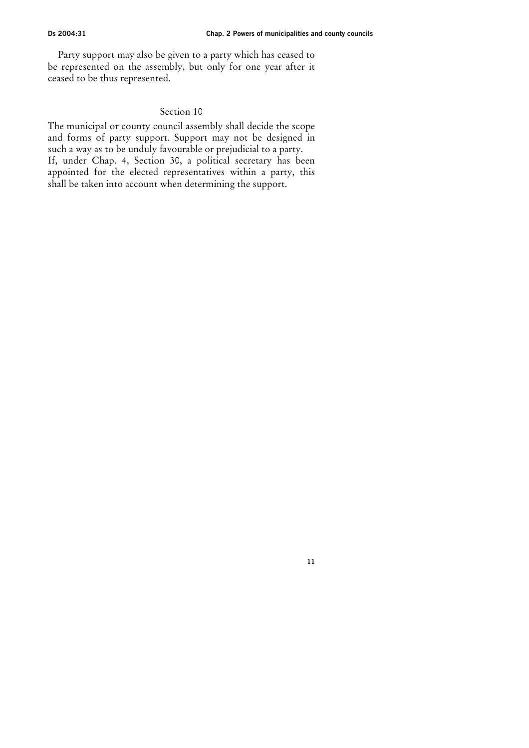11

Party support may also be given to a party which has ceased to be represented on the assembly, but only for one year after it ceased to be thus represented.

## Section 10

The municipal or county council assembly shall decide the scope and forms of party support. Support may not be designed in such a way as to be unduly favourable or prejudicial to a party. If, under Chap. 4, Section 30, a political secretary has been appointed for the elected representatives within a party, this shall be taken into account when determining the support.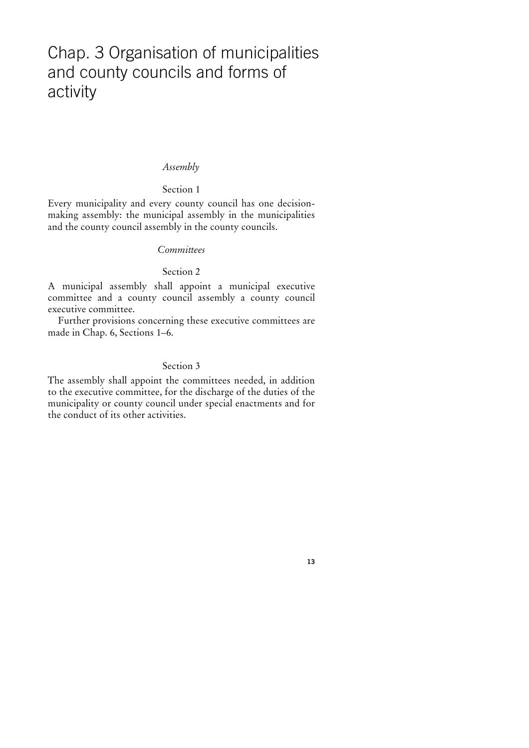## Chap. 3 Organisation of municipalities and county councils and forms of activity

#### Assembly

#### Section 1

Every municipality and every county council has one decisionmaking assembly: the municipal assembly in the municipalities and the county council assembly in the county councils.

#### **Committees**

#### Section 2

A municipal assembly shall appoint a municipal executive committee and a county council assembly a county council executive committee.

Further provisions concerning these executive committees are made in Chap. 6, Sections 1–6.

## Section 3

The assembly shall appoint the committees needed, in addition to the executive committee, for the discharge of the duties of the municipality or county council under special enactments and for the conduct of its other activities.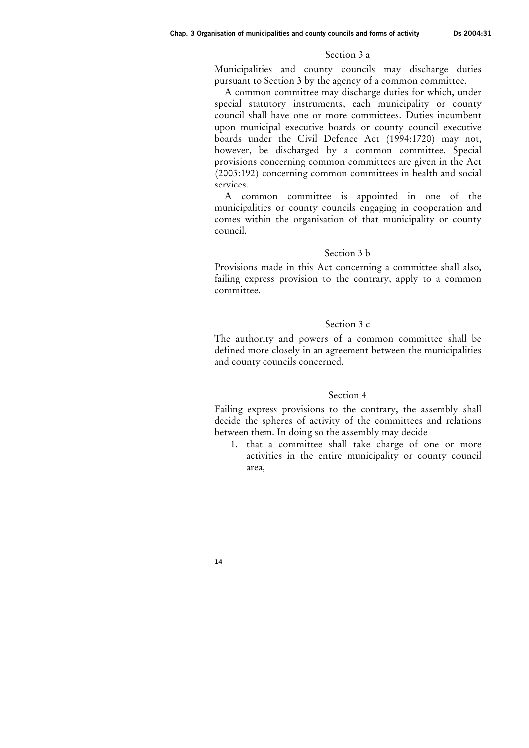#### Section 3 a

Municipalities and county councils may discharge duties pursuant to Section 3 by the agency of a common committee.

A common committee may discharge duties for which, under special statutory instruments, each municipality or county council shall have one or more committees. Duties incumbent upon municipal executive boards or county council executive boards under the Civil Defence Act (1994:1720) may not, however, be discharged by a common committee. Special provisions concerning common committees are given in the Act (2003:192) concerning common committees in health and social services.

A common committee is appointed in one of the municipalities or county councils engaging in cooperation and comes within the organisation of that municipality or county council.

#### Section 3 b

Provisions made in this Act concerning a committee shall also, failing express provision to the contrary, apply to a common committee.

#### Section 3 c

The authority and powers of a common committee shall be defined more closely in an agreement between the municipalities and county councils concerned.

#### Section 4

Failing express provisions to the contrary, the assembly shall decide the spheres of activity of the committees and relations between them. In doing so the assembly may decide

1. that a committee shall take charge of one or more activities in the entire municipality or county council area,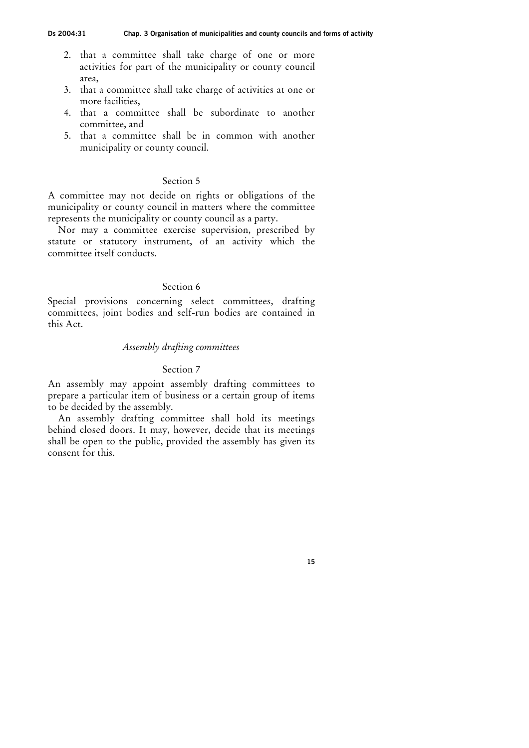- 2. that a committee shall take charge of one or more activities for part of the municipality or county council area,
- 3. that a committee shall take charge of activities at one or more facilities,
- 4. that a committee shall be subordinate to another committee, and
- 5. that a committee shall be in common with another municipality or county council.

A committee may not decide on rights or obligations of the municipality or county council in matters where the committee represents the municipality or county council as a party.

Nor may a committee exercise supervision, prescribed by statute or statutory instrument, of an activity which the committee itself conducts.

#### Section 6

Special provisions concerning select committees, drafting committees, joint bodies and self-run bodies are contained in this Act.

### Assembly drafting committees

#### Section 7

An assembly may appoint assembly drafting committees to prepare a particular item of business or a certain group of items to be decided by the assembly.

An assembly drafting committee shall hold its meetings behind closed doors. It may, however, decide that its meetings shall be open to the public, provided the assembly has given its consent for this.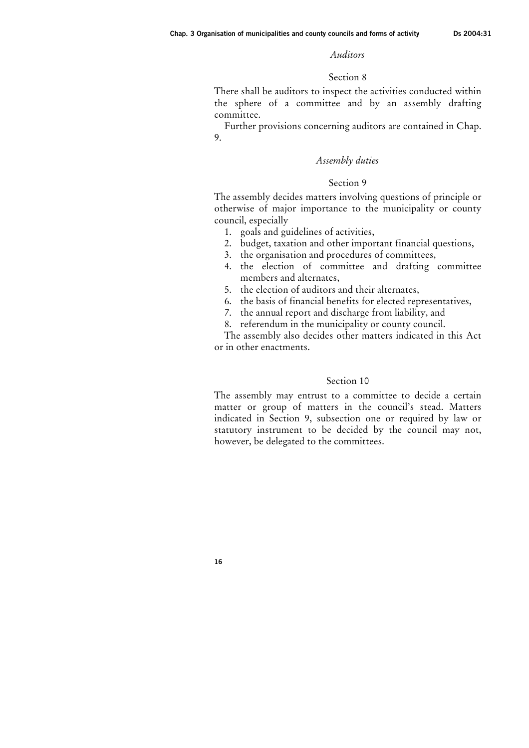#### Auditors

#### Section 8

There shall be auditors to inspect the activities conducted within the sphere of a committee and by an assembly drafting committee.

Further provisions concerning auditors are contained in Chap. 9.

### Assembly duties

## Section 9

The assembly decides matters involving questions of principle or otherwise of major importance to the municipality or county council, especially

- 1. goals and guidelines of activities,
- 2. budget, taxation and other important financial questions,
- 3. the organisation and procedures of committees,
- 4. the election of committee and drafting committee members and alternates,
- 5. the election of auditors and their alternates,
- 6. the basis of financial benefits for elected representatives,
- 7. the annual report and discharge from liability, and
- 8. referendum in the municipality or county council.

The assembly also decides other matters indicated in this Act or in other enactments.

#### Section 10

The assembly may entrust to a committee to decide a certain matter or group of matters in the council's stead. Matters indicated in Section 9, subsection one or required by law or statutory instrument to be decided by the council may not, however, be delegated to the committees.

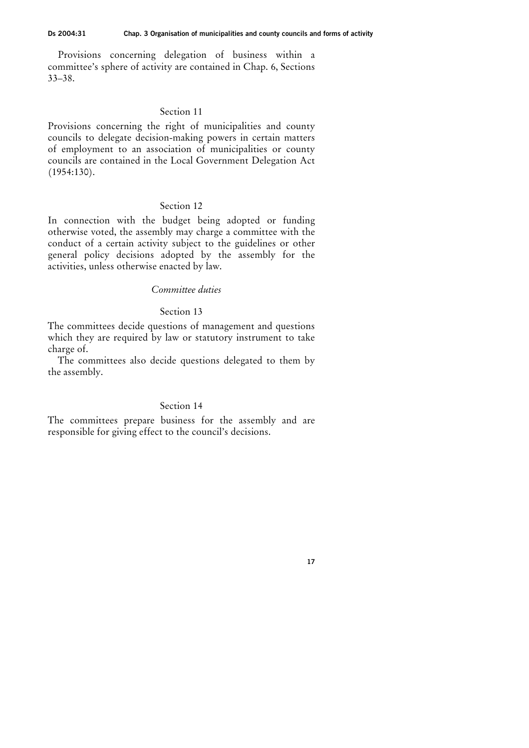Provisions concerning delegation of business within a committee's sphere of activity are contained in Chap. 6, Sections 33–38.

## Section 11

Provisions concerning the right of municipalities and county councils to delegate decision-making powers in certain matters of employment to an association of municipalities or county councils are contained in the Local Government Delegation Act (1954:130).

#### Section 12

In connection with the budget being adopted or funding otherwise voted, the assembly may charge a committee with the conduct of a certain activity subject to the guidelines or other general policy decisions adopted by the assembly for the activities, unless otherwise enacted by law.

## Committee duties

#### Section 13

The committees decide questions of management and questions which they are required by law or statutory instrument to take charge of.

The committees also decide questions delegated to them by the assembly.

## Section 14

The committees prepare business for the assembly and are responsible for giving effect to the council's decisions.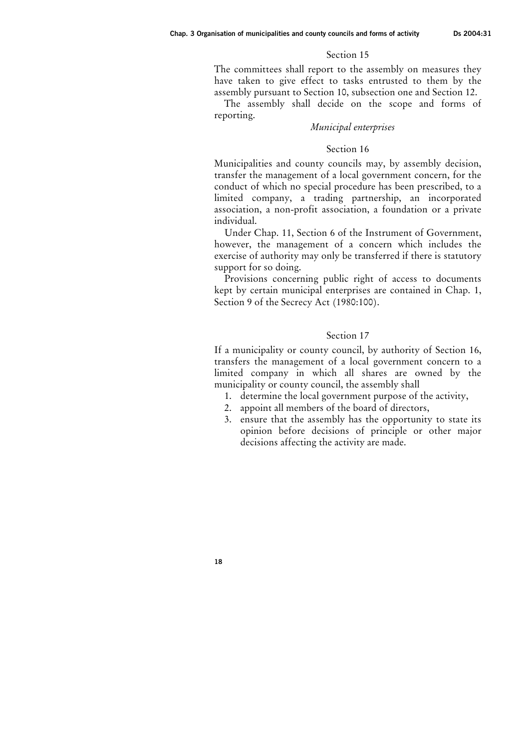The committees shall report to the assembly on measures they have taken to give effect to tasks entrusted to them by the assembly pursuant to Section 10, subsection one and Section 12.

The assembly shall decide on the scope and forms of reporting.

#### Municipal enterprises

#### Section 16

Municipalities and county councils may, by assembly decision, transfer the management of a local government concern, for the conduct of which no special procedure has been prescribed, to a limited company, a trading partnership, an incorporated association, a non-profit association, a foundation or a private individual.

Under Chap. 11, Section 6 of the Instrument of Government, however, the management of a concern which includes the exercise of authority may only be transferred if there is statutory support for so doing.

Provisions concerning public right of access to documents kept by certain municipal enterprises are contained in Chap. 1, Section 9 of the Secrecy Act (1980:100).

#### Section 17

If a municipality or county council, by authority of Section 16, transfers the management of a local government concern to a limited company in which all shares are owned by the municipality or county council, the assembly shall

- 1. determine the local government purpose of the activity,
- 2. appoint all members of the board of directors,
- 3. ensure that the assembly has the opportunity to state its opinion before decisions of principle or other major decisions affecting the activity are made.

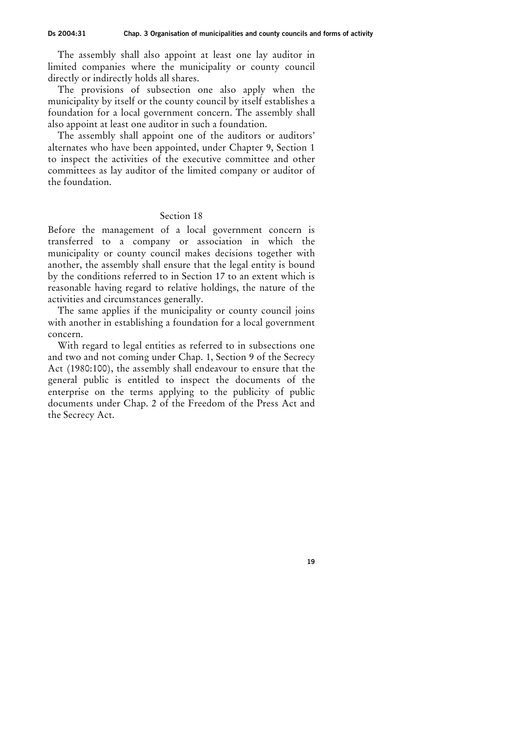The assembly shall also appoint at least one lay auditor in limited companies where the municipality or county council directly or indirectly holds all shares.

The provisions of subsection one also apply when the municipality by itself or the county council by itself establishes a foundation for a local government concern. The assembly shall also appoint at least one auditor in such a foundation.

The assembly shall appoint one of the auditors or auditors' alternates who have been appointed, under Chapter 9, Section 1 to inspect the activities of the executive committee and other committees as lay auditor of the limited company or auditor of the foundation.

#### Section 18

Before the management of a local government concern is transferred to a company or association in which the municipality or county council makes decisions together with another, the assembly shall ensure that the legal entity is bound by the conditions referred to in Section 17 to an extent which is reasonable having regard to relative holdings, the nature of the activities and circumstances generally.

The same applies if the municipality or county council joins with another in establishing a foundation for a local government concern.

With regard to legal entities as referred to in subsections one and two and not coming under Chap. 1, Section 9 of the Secrecy Act (1980:100), the assembly shall endeavour to ensure that the general public is entitled to inspect the documents of the enterprise on the terms applying to the publicity of public documents under Chap. 2 of the Freedom of the Press Act and the Secrecy Act.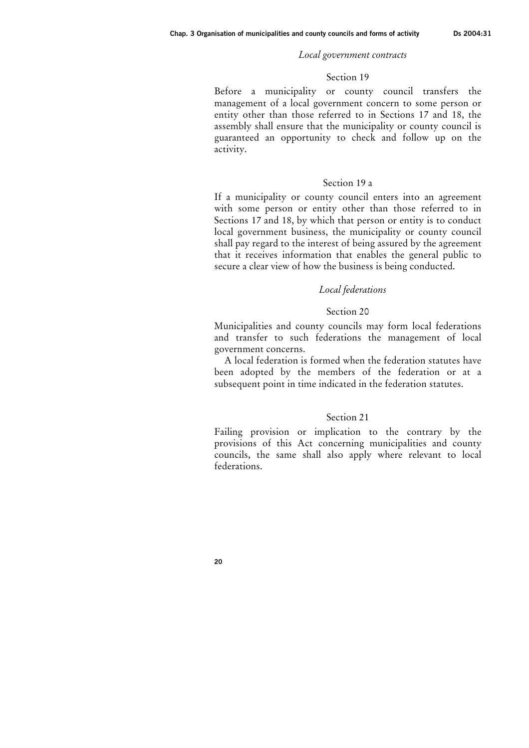#### Local government contracts

#### Section 19

Before a municipality or county council transfers the management of a local government concern to some person or entity other than those referred to in Sections 17 and 18, the assembly shall ensure that the municipality or county council is guaranteed an opportunity to check and follow up on the activity.

### Section 19 a

If a municipality or county council enters into an agreement with some person or entity other than those referred to in Sections 17 and 18, by which that person or entity is to conduct local government business, the municipality or county council shall pay regard to the interest of being assured by the agreement that it receives information that enables the general public to secure a clear view of how the business is being conducted.

#### Local federations

#### Section 20

Municipalities and county councils may form local federations and transfer to such federations the management of local government concerns.

A local federation is formed when the federation statutes have been adopted by the members of the federation or at a subsequent point in time indicated in the federation statutes.

#### Section 21

Failing provision or implication to the contrary by the provisions of this Act concerning municipalities and county councils, the same shall also apply where relevant to local federations.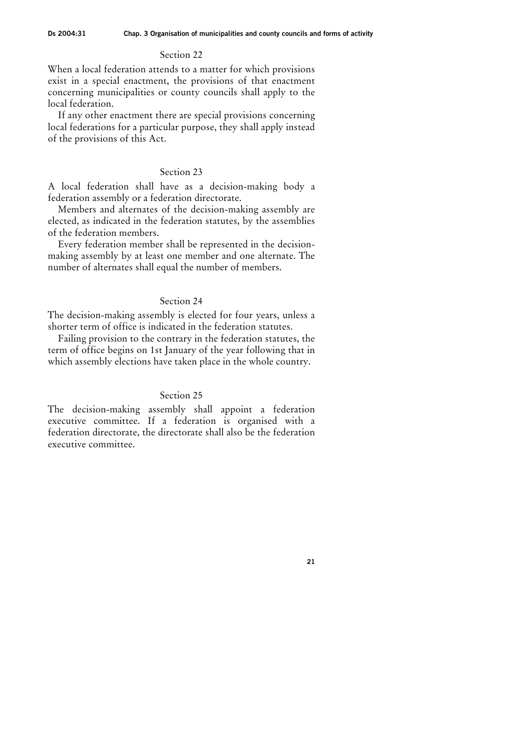When a local federation attends to a matter for which provisions exist in a special enactment, the provisions of that enactment concerning municipalities or county councils shall apply to the local federation.

If any other enactment there are special provisions concerning local federations for a particular purpose, they shall apply instead of the provisions of this Act.

## Section 23

A local federation shall have as a decision-making body a federation assembly or a federation directorate.

Members and alternates of the decision-making assembly are elected, as indicated in the federation statutes, by the assemblies of the federation members.

Every federation member shall be represented in the decisionmaking assembly by at least one member and one alternate. The number of alternates shall equal the number of members.

#### Section 24

The decision-making assembly is elected for four years, unless a shorter term of office is indicated in the federation statutes.

Failing provision to the contrary in the federation statutes, the term of office begins on 1st January of the year following that in which assembly elections have taken place in the whole country.

## Section 25

The decision-making assembly shall appoint a federation executive committee. If a federation is organised with a federation directorate, the directorate shall also be the federation executive committee.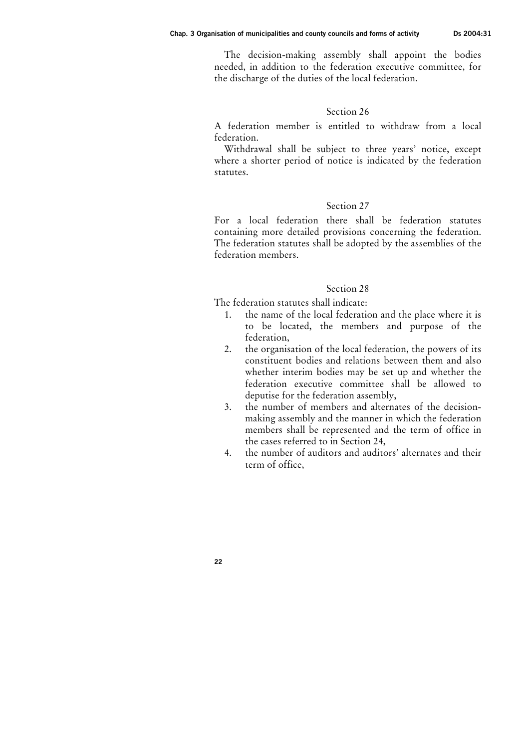The decision-making assembly shall appoint the bodies needed, in addition to the federation executive committee, for the discharge of the duties of the local federation.

## Section 26

A federation member is entitled to withdraw from a local federation.

Withdrawal shall be subject to three years' notice, except where a shorter period of notice is indicated by the federation statutes.

## Section 27

For a local federation there shall be federation statutes containing more detailed provisions concerning the federation. The federation statutes shall be adopted by the assemblies of the federation members.

## Section 28

The federation statutes shall indicate:

- 1. the name of the local federation and the place where it is to be located, the members and purpose of the federation,
- 2. the organisation of the local federation, the powers of its constituent bodies and relations between them and also whether interim bodies may be set up and whether the federation executive committee shall be allowed to deputise for the federation assembly,
- 3. the number of members and alternates of the decisionmaking assembly and the manner in which the federation members shall be represented and the term of office in the cases referred to in Section 24,
- 4. the number of auditors and auditors' alternates and their term of office,

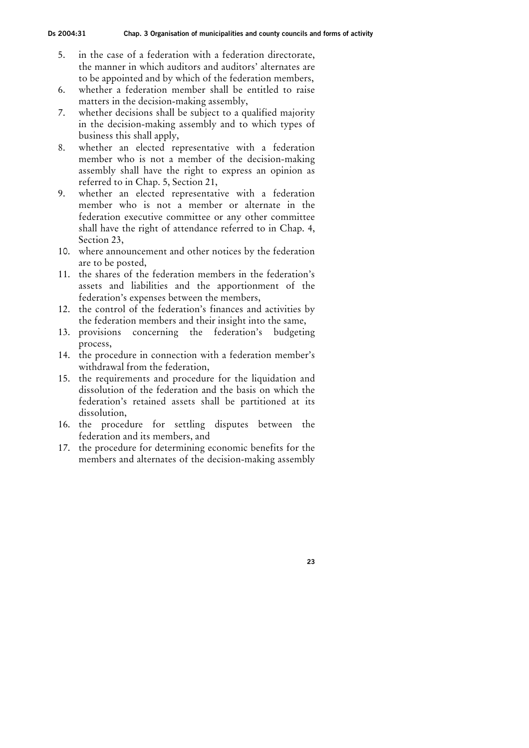- 5. in the case of a federation with a federation directorate, the manner in which auditors and auditors' alternates are to be appointed and by which of the federation members,
- 6. whether a federation member shall be entitled to raise matters in the decision-making assembly,
- 7. whether decisions shall be subject to a qualified majority in the decision-making assembly and to which types of business this shall apply,
- 8. whether an elected representative with a federation member who is not a member of the decision-making assembly shall have the right to express an opinion as referred to in Chap. 5, Section 21,
- 9. whether an elected representative with a federation member who is not a member or alternate in the federation executive committee or any other committee shall have the right of attendance referred to in Chap. 4, Section 23,
- 10. where announcement and other notices by the federation are to be posted,
- 11. the shares of the federation members in the federation's assets and liabilities and the apportionment of the federation's expenses between the members,
- 12. the control of the federation's finances and activities by the federation members and their insight into the same,
- 13. provisions concerning the federation's budgeting process,
- 14. the procedure in connection with a federation member's withdrawal from the federation,
- 15. the requirements and procedure for the liquidation and dissolution of the federation and the basis on which the federation's retained assets shall be partitioned at its dissolution,
- 16. the procedure for settling disputes between the federation and its members, and
- 17. the procedure for determining economic benefits for the members and alternates of the decision-making assembly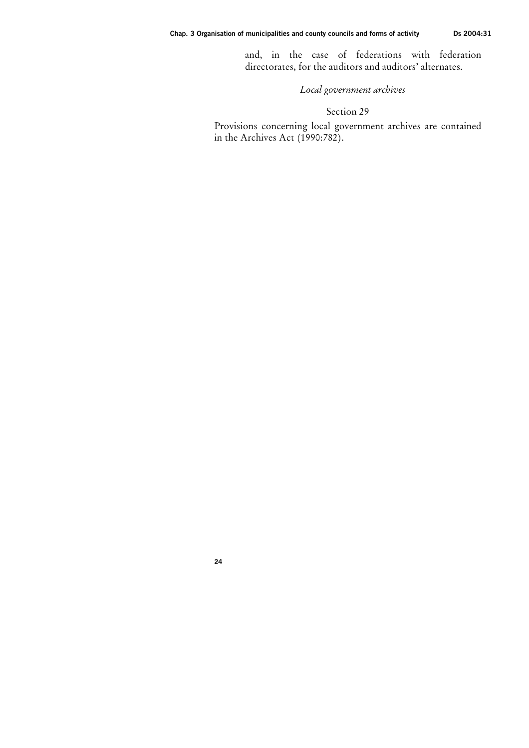and, in the case of federations with federation directorates, for the auditors and auditors' alternates.

Local government archives

## Section 29

Provisions concerning local government archives are contained in the Archives Act (1990:782).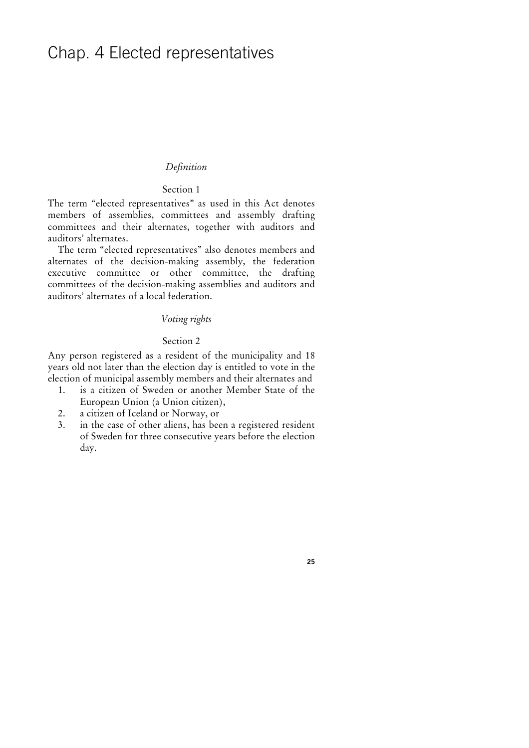## Chap. 4 Elected representatives

### Definition

## Section 1

The term "elected representatives" as used in this Act denotes members of assemblies, committees and assembly drafting committees and their alternates, together with auditors and auditors' alternates.

The term "elected representatives" also denotes members and alternates of the decision-making assembly, the federation executive committee or other committee, the drafting committees of the decision-making assemblies and auditors and auditors' alternates of a local federation.

## Voting rights

## Section 2

Any person registered as a resident of the municipality and 18 years old not later than the election day is entitled to vote in the election of municipal assembly members and their alternates and

- 1. is a citizen of Sweden or another Member State of the European Union (a Union citizen),
- 2. a citizen of Iceland or Norway, or
- 3. in the case of other aliens, has been a registered resident of Sweden for three consecutive years before the election day.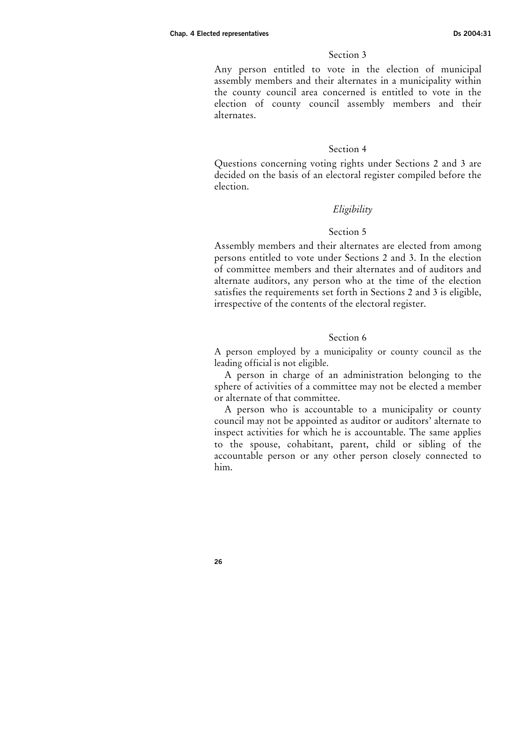Any person entitled to vote in the election of municipal assembly members and their alternates in a municipality within the county council area concerned is entitled to vote in the election of county council assembly members and their alternates.

#### Section 4

Questions concerning voting rights under Sections 2 and 3 are decided on the basis of an electoral register compiled before the election.

## Eligibility

### Section 5

Assembly members and their alternates are elected from among persons entitled to vote under Sections 2 and 3. In the election of committee members and their alternates and of auditors and alternate auditors, any person who at the time of the election satisfies the requirements set forth in Sections 2 and 3 is eligible, irrespective of the contents of the electoral register.

#### Section 6

A person employed by a municipality or county council as the leading official is not eligible.

A person in charge of an administration belonging to the sphere of activities of a committee may not be elected a member or alternate of that committee.

A person who is accountable to a municipality or county council may not be appointed as auditor or auditors' alternate to inspect activities for which he is accountable. The same applies to the spouse, cohabitant, parent, child or sibling of the accountable person or any other person closely connected to him.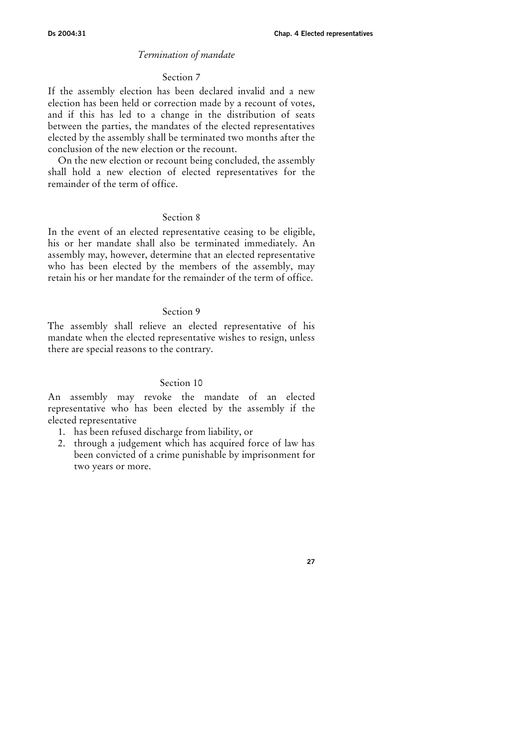#### Termination of mandate

#### Section 7

If the assembly election has been declared invalid and a new election has been held or correction made by a recount of votes, and if this has led to a change in the distribution of seats between the parties, the mandates of the elected representatives elected by the assembly shall be terminated two months after the conclusion of the new election or the recount.

On the new election or recount being concluded, the assembly shall hold a new election of elected representatives for the remainder of the term of office.

## Section 8

In the event of an elected representative ceasing to be eligible, his or her mandate shall also be terminated immediately. An assembly may, however, determine that an elected representative who has been elected by the members of the assembly, may retain his or her mandate for the remainder of the term of office.

#### Section 9

The assembly shall relieve an elected representative of his mandate when the elected representative wishes to resign, unless there are special reasons to the contrary.

## Section 10

An assembly may revoke the mandate of an elected representative who has been elected by the assembly if the elected representative

1. has been refused discharge from liability, or

2. through a judgement which has acquired force of law has been convicted of a crime punishable by imprisonment for two years or more.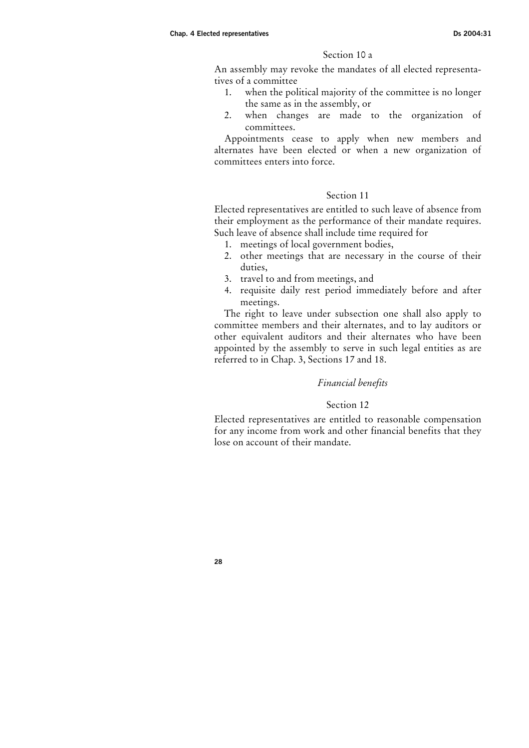## Section 10 a

An assembly may revoke the mandates of all elected representatives of a committee

- 1. when the political majority of the committee is no longer the same as in the assembly, or
- 2. when changes are made to the organization of committees.

Appointments cease to apply when new members and alternates have been elected or when a new organization of committees enters into force.

## Section 11

Elected representatives are entitled to such leave of absence from their employment as the performance of their mandate requires. Such leave of absence shall include time required for

- 1. meetings of local government bodies,
- 2. other meetings that are necessary in the course of their duties,
- 3. travel to and from meetings, and
- 4. requisite daily rest period immediately before and after meetings.

The right to leave under subsection one shall also apply to committee members and their alternates, and to lay auditors or other equivalent auditors and their alternates who have been appointed by the assembly to serve in such legal entities as are referred to in Chap. 3, Sections 17 and 18.

#### Financial benefits

## Section 12

Elected representatives are entitled to reasonable compensation for any income from work and other financial benefits that they lose on account of their mandate.

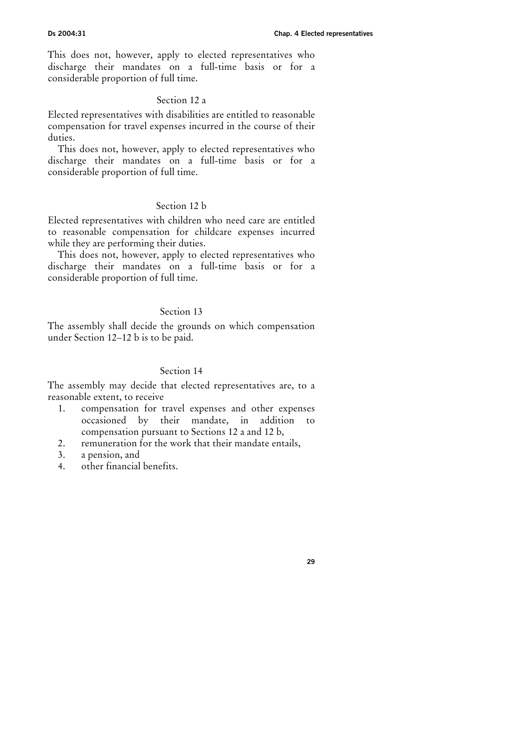This does not, however, apply to elected representatives who discharge their mandates on a full-time basis or for a considerable proportion of full time.

#### Section 12 a

Elected representatives with disabilities are entitled to reasonable compensation for travel expenses incurred in the course of their duties.

This does not, however, apply to elected representatives who discharge their mandates on a full-time basis or for a considerable proportion of full time.

## Section 12 b

Elected representatives with children who need care are entitled to reasonable compensation for childcare expenses incurred while they are performing their duties.

This does not, however, apply to elected representatives who discharge their mandates on a full-time basis or for a considerable proportion of full time.

## Section 13

The assembly shall decide the grounds on which compensation under Section 12–12 b is to be paid.

## Section 14

The assembly may decide that elected representatives are, to a reasonable extent, to receive

- 1. compensation for travel expenses and other expenses occasioned by their mandate, in addition to compensation pursuant to Sections 12 a and 12 b,
- 2. remuneration for the work that their mandate entails,
- 3. a pension, and
- 4. other financial benefits.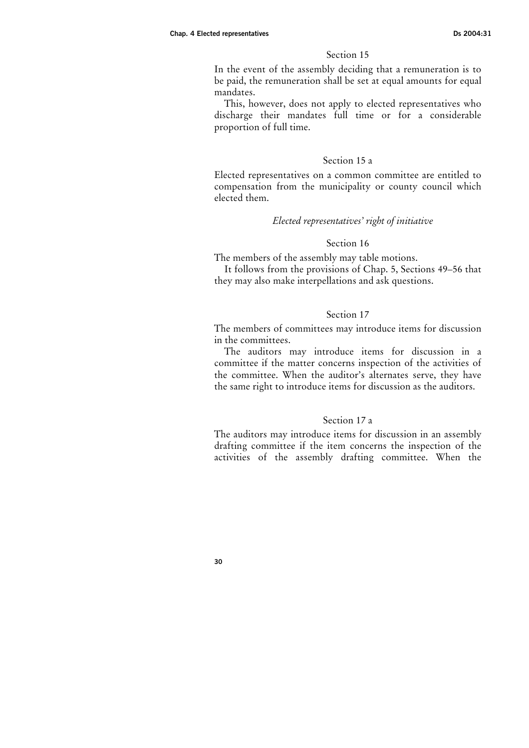In the event of the assembly deciding that a remuneration is to be paid, the remuneration shall be set at equal amounts for equal mandates.

This, however, does not apply to elected representatives who discharge their mandates full time or for a considerable proportion of full time.

#### Section 15 a

Elected representatives on a common committee are entitled to compensation from the municipality or county council which elected them.

#### Elected representatives' right of initiative

#### Section 16

The members of the assembly may table motions.

It follows from the provisions of Chap. 5, Sections 49–56 that they may also make interpellations and ask questions.

#### Section 17

The members of committees may introduce items for discussion in the committees.

The auditors may introduce items for discussion in a committee if the matter concerns inspection of the activities of the committee. When the auditor's alternates serve, they have the same right to introduce items for discussion as the auditors.

## Section 17 a

The auditors may introduce items for discussion in an assembly drafting committee if the item concerns the inspection of the activities of the assembly drafting committee. When the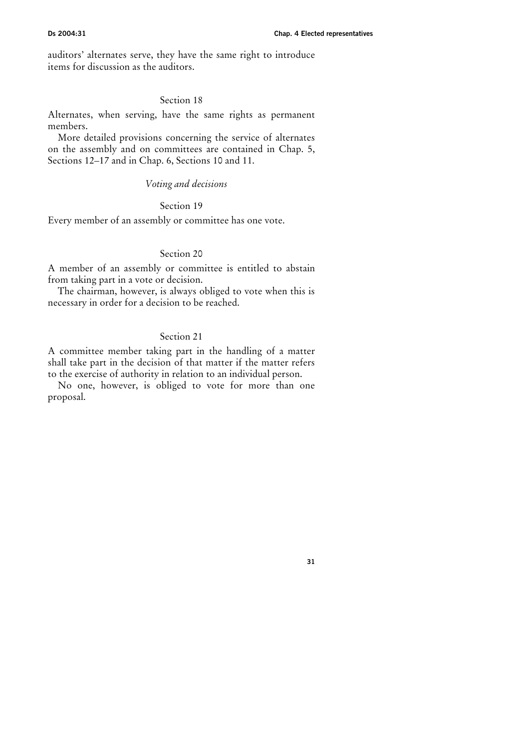auditors' alternates serve, they have the same right to introduce items for discussion as the auditors.

#### Section 18

Alternates, when serving, have the same rights as permanent members.

More detailed provisions concerning the service of alternates on the assembly and on committees are contained in Chap. 5, Sections 12–17 and in Chap. 6, Sections 10 and 11.

#### Voting and decisions

## Section 19

Every member of an assembly or committee has one vote.

#### Section 20

A member of an assembly or committee is entitled to abstain from taking part in a vote or decision.

The chairman, however, is always obliged to vote when this is necessary in order for a decision to be reached.

## Section 21

A committee member taking part in the handling of a matter shall take part in the decision of that matter if the matter refers to the exercise of authority in relation to an individual person.

No one, however, is obliged to vote for more than one proposal.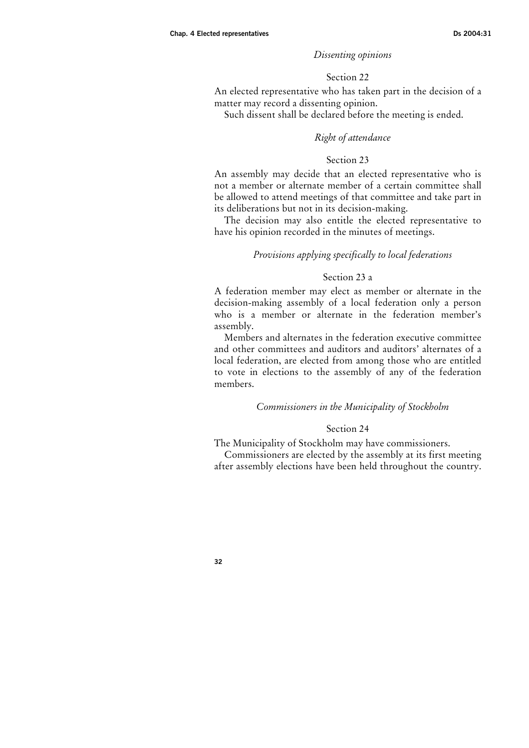## Dissenting opinions

#### Section 22

An elected representative who has taken part in the decision of a matter may record a dissenting opinion.

Such dissent shall be declared before the meeting is ended.

#### Right of attendance

### Section 23

An assembly may decide that an elected representative who is not a member or alternate member of a certain committee shall be allowed to attend meetings of that committee and take part in its deliberations but not in its decision-making.

The decision may also entitle the elected representative to have his opinion recorded in the minutes of meetings.

#### Provisions applying specifically to local federations

#### Section 23 a

A federation member may elect as member or alternate in the decision-making assembly of a local federation only a person who is a member or alternate in the federation member's assembly.

Members and alternates in the federation executive committee and other committees and auditors and auditors' alternates of a local federation, are elected from among those who are entitled to vote in elections to the assembly of any of the federation members.

#### Commissioners in the Municipality of Stockholm

#### Section 24

The Municipality of Stockholm may have commissioners.

Commissioners are elected by the assembly at its first meeting after assembly elections have been held throughout the country.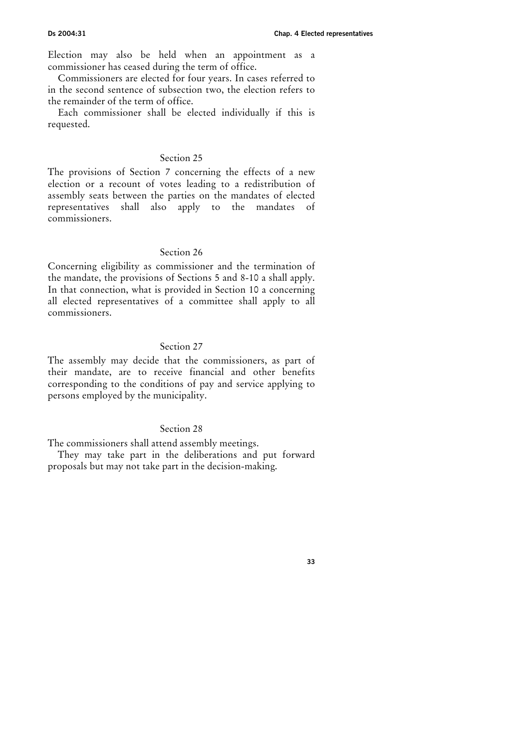Election may also be held when an appointment as a commissioner has ceased during the term of office.

Commissioners are elected for four years. In cases referred to in the second sentence of subsection two, the election refers to the remainder of the term of office.

Each commissioner shall be elected individually if this is requested.

#### Section 25

The provisions of Section 7 concerning the effects of a new election or a recount of votes leading to a redistribution of assembly seats between the parties on the mandates of elected representatives shall also apply to the mandates of commissioners.

## Section 26

Concerning eligibility as commissioner and the termination of the mandate, the provisions of Sections 5 and 8-10 a shall apply. In that connection, what is provided in Section 10 a concerning all elected representatives of a committee shall apply to all commissioners.

#### Section 27

The assembly may decide that the commissioners, as part of their mandate, are to receive financial and other benefits corresponding to the conditions of pay and service applying to persons employed by the municipality.

## Section 28

The commissioners shall attend assembly meetings.

They may take part in the deliberations and put forward proposals but may not take part in the decision-making.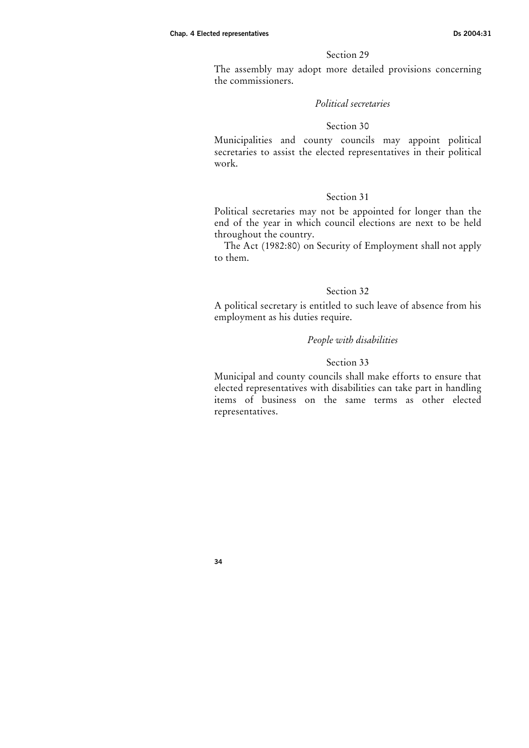The assembly may adopt more detailed provisions concerning the commissioners.

## Political secretaries

#### Section 30

Municipalities and county councils may appoint political secretaries to assist the elected representatives in their political work.

#### Section 31

Political secretaries may not be appointed for longer than the end of the year in which council elections are next to be held throughout the country.

The Act (1982:80) on Security of Employment shall not apply to them.

## Section 32

A political secretary is entitled to such leave of absence from his employment as his duties require.

#### People with disabilities

#### Section 33

Municipal and county councils shall make efforts to ensure that elected representatives with disabilities can take part in handling items of business on the same terms as other elected representatives.

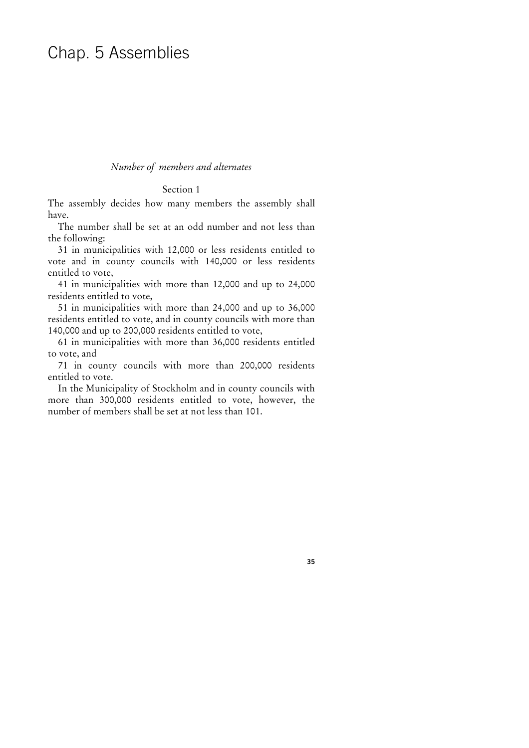## Chap. 5 Assemblies

#### Number of members and alternates

#### Section 1

The assembly decides how many members the assembly shall have.

The number shall be set at an odd number and not less than the following:

31 in municipalities with 12,000 or less residents entitled to vote and in county councils with 140,000 or less residents entitled to vote,

41 in municipalities with more than 12,000 and up to 24,000 residents entitled to vote,

51 in municipalities with more than 24,000 and up to 36,000 residents entitled to vote, and in county councils with more than 140,000 and up to 200,000 residents entitled to vote,

61 in municipalities with more than 36,000 residents entitled to vote, and

71 in county councils with more than 200,000 residents entitled to vote.

In the Municipality of Stockholm and in county councils with more than 300,000 residents entitled to vote, however, the number of members shall be set at not less than 101.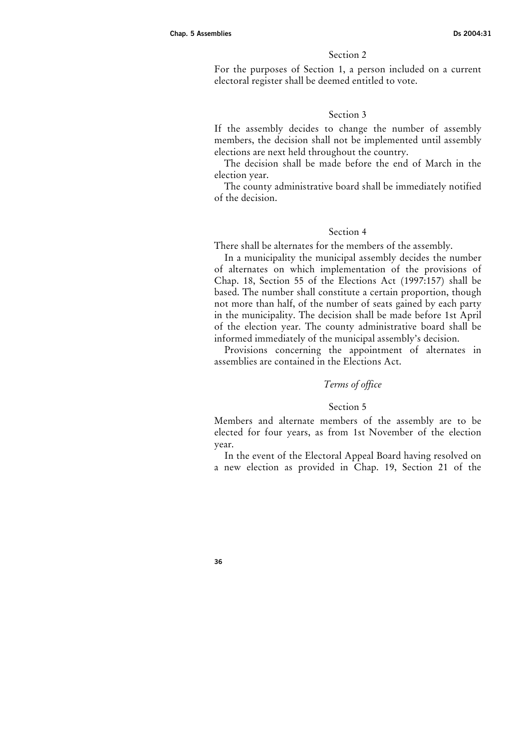For the purposes of Section 1, a person included on a current electoral register shall be deemed entitled to vote.

#### Section 3

If the assembly decides to change the number of assembly members, the decision shall not be implemented until assembly elections are next held throughout the country.

The decision shall be made before the end of March in the election year.

The county administrative board shall be immediately notified of the decision.

#### Section 4

There shall be alternates for the members of the assembly.

In a municipality the municipal assembly decides the number of alternates on which implementation of the provisions of Chap. 18, Section 55 of the Elections Act (1997:157) shall be based. The number shall constitute a certain proportion, though not more than half, of the number of seats gained by each party in the municipality. The decision shall be made before 1st April of the election year. The county administrative board shall be informed immediately of the municipal assembly's decision.

Provisions concerning the appointment of alternates in assemblies are contained in the Elections Act.

## Terms of office

## Section 5

Members and alternate members of the assembly are to be elected for four years, as from 1st November of the election year.

In the event of the Electoral Appeal Board having resolved on a new election as provided in Chap. 19, Section 21 of the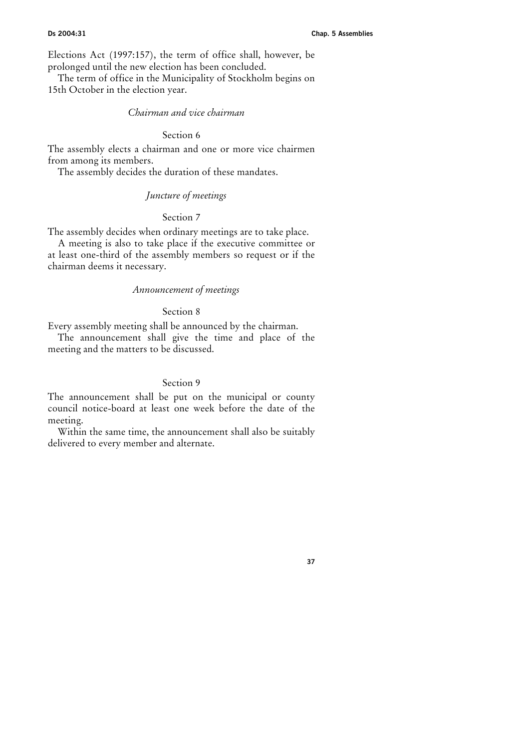Elections Act (1997:157), the term of office shall, however, be prolonged until the new election has been concluded.

The term of office in the Municipality of Stockholm begins on 15th October in the election year.

## Chairman and vice chairman

## Section 6

The assembly elects a chairman and one or more vice chairmen from among its members.

The assembly decides the duration of these mandates.

## Juncture of meetings

#### Section 7

The assembly decides when ordinary meetings are to take place.

A meeting is also to take place if the executive committee or at least one-third of the assembly members so request or if the chairman deems it necessary.

## Announcement of meetings

#### Section 8

Every assembly meeting shall be announced by the chairman.

The announcement shall give the time and place of the meeting and the matters to be discussed.

## Section 9

The announcement shall be put on the municipal or county council notice-board at least one week before the date of the meeting.

Within the same time, the announcement shall also be suitably delivered to every member and alternate.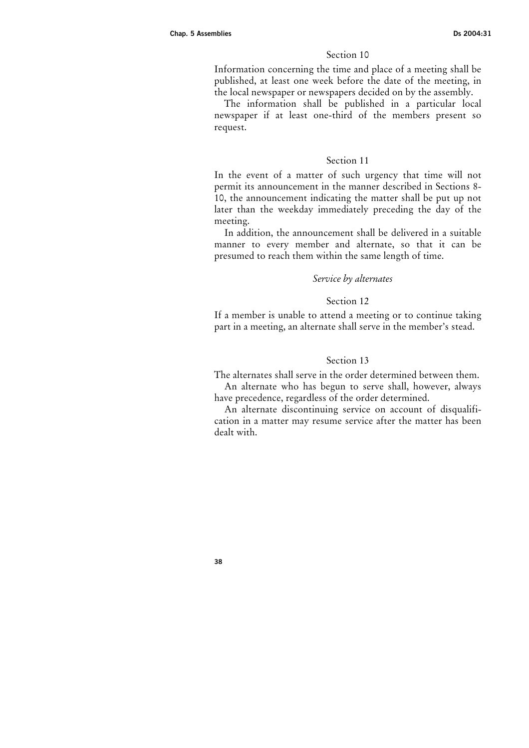Information concerning the time and place of a meeting shall be published, at least one week before the date of the meeting, in the local newspaper or newspapers decided on by the assembly.

The information shall be published in a particular local newspaper if at least one-third of the members present so request.

#### Section 11

In the event of a matter of such urgency that time will not permit its announcement in the manner described in Sections 8- 10, the announcement indicating the matter shall be put up not later than the weekday immediately preceding the day of the meeting.

In addition, the announcement shall be delivered in a suitable manner to every member and alternate, so that it can be presumed to reach them within the same length of time.

#### Service by alternates

#### Section 12

If a member is unable to attend a meeting or to continue taking part in a meeting, an alternate shall serve in the member's stead.

#### Section 13

The alternates shall serve in the order determined between them. An alternate who has begun to serve shall, however, always

have precedence, regardless of the order determined. An alternate discontinuing service on account of disqualification in a matter may resume service after the matter has been dealt with.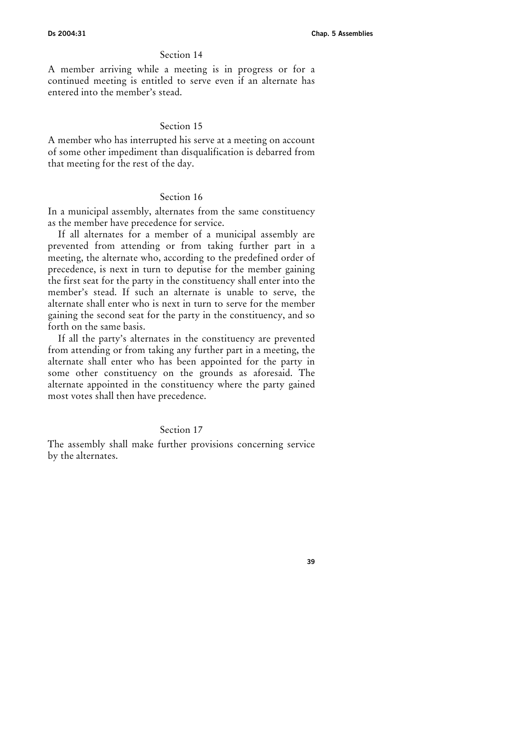A member arriving while a meeting is in progress or for a continued meeting is entitled to serve even if an alternate has entered into the member's stead.

## Section 15

A member who has interrupted his serve at a meeting on account of some other impediment than disqualification is debarred from that meeting for the rest of the day.

#### Section 16

In a municipal assembly, alternates from the same constituency as the member have precedence for service.

If all alternates for a member of a municipal assembly are prevented from attending or from taking further part in a meeting, the alternate who, according to the predefined order of precedence, is next in turn to deputise for the member gaining the first seat for the party in the constituency shall enter into the member's stead. If such an alternate is unable to serve, the alternate shall enter who is next in turn to serve for the member gaining the second seat for the party in the constituency, and so forth on the same basis.

If all the party's alternates in the constituency are prevented from attending or from taking any further part in a meeting, the alternate shall enter who has been appointed for the party in some other constituency on the grounds as aforesaid. The alternate appointed in the constituency where the party gained most votes shall then have precedence.

## Section 17

The assembly shall make further provisions concerning service by the alternates.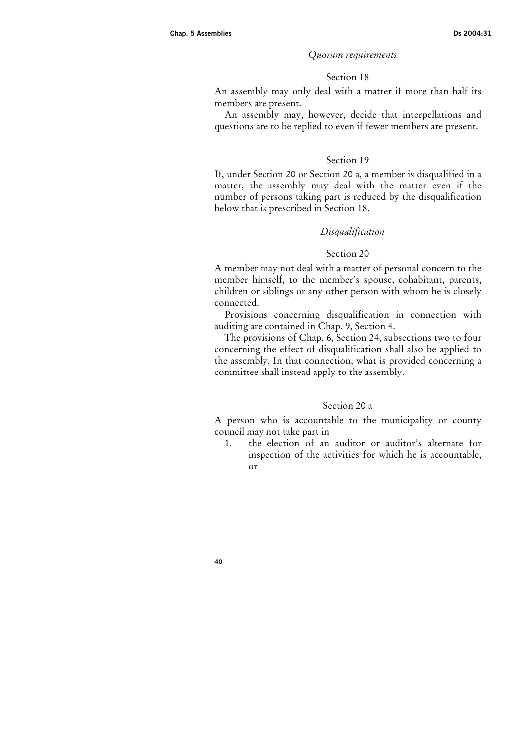#### Quorum requirements

#### Section 18

An assembly may only deal with a matter if more than half its members are present.

An assembly may, however, decide that interpellations and questions are to be replied to even if fewer members are present.

## Section 19

If, under Section 20 or Section 20 a, a member is disqualified in a matter, the assembly may deal with the matter even if the number of persons taking part is reduced by the disqualification below that is prescribed in Section 18.

#### Disqualification

#### Section 20

A member may not deal with a matter of personal concern to the member himself, to the member's spouse, cohabitant, parents, children or siblings or any other person with whom he is closely connected.

Provisions concerning disqualification in connection with auditing are contained in Chap. 9, Section 4.

The provisions of Chap. 6, Section 24, subsections two to four concerning the effect of disqualification shall also be applied to the assembly. In that connection, what is provided concerning a committee shall instead apply to the assembly.

## Section 20 a

A person who is accountable to the municipality or county council may not take part in

1. the election of an auditor or auditor's alternate for inspection of the activities for which he is accountable, or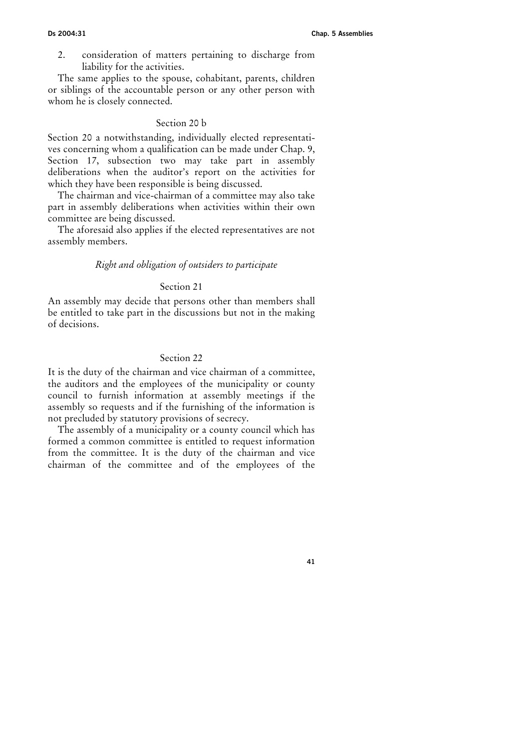2. consideration of matters pertaining to discharge from liability for the activities.

The same applies to the spouse, cohabitant, parents, children or siblings of the accountable person or any other person with whom he is closely connected.

## Section 20 b

Section 20 a notwithstanding, individually elected representatives concerning whom a qualification can be made under Chap. 9, Section 17, subsection two may take part in assembly deliberations when the auditor's report on the activities for which they have been responsible is being discussed.

The chairman and vice-chairman of a committee may also take part in assembly deliberations when activities within their own committee are being discussed.

The aforesaid also applies if the elected representatives are not assembly members.

## Right and obligation of outsiders to participate

## Section 21

An assembly may decide that persons other than members shall be entitled to take part in the discussions but not in the making of decisions.

## Section 22

It is the duty of the chairman and vice chairman of a committee, the auditors and the employees of the municipality or county council to furnish information at assembly meetings if the assembly so requests and if the furnishing of the information is not precluded by statutory provisions of secrecy.

The assembly of a municipality or a county council which has formed a common committee is entitled to request information from the committee. It is the duty of the chairman and vice chairman of the committee and of the employees of the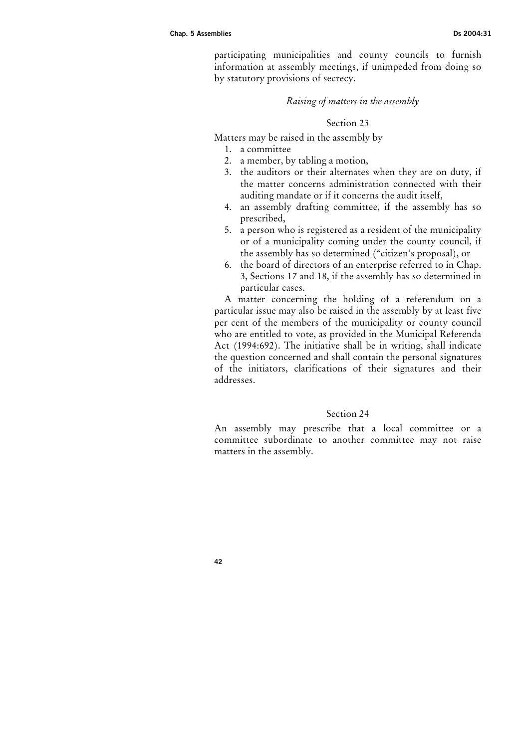participating municipalities and county councils to furnish information at assembly meetings, if unimpeded from doing so by statutory provisions of secrecy.

#### Raising of matters in the assembly

## Section 23

Matters may be raised in the assembly by

- 1. a committee
- 2. a member, by tabling a motion,
- 3. the auditors or their alternates when they are on duty, if the matter concerns administration connected with their auditing mandate or if it concerns the audit itself,
- 4. an assembly drafting committee, if the assembly has so prescribed,
- 5. a person who is registered as a resident of the municipality or of a municipality coming under the county council, if the assembly has so determined ("citizen's proposal), or
- 6. the board of directors of an enterprise referred to in Chap. 3, Sections 17 and 18, if the assembly has so determined in particular cases.

A matter concerning the holding of a referendum on a particular issue may also be raised in the assembly by at least five per cent of the members of the municipality or county council who are entitled to vote, as provided in the Municipal Referenda Act (1994:692). The initiative shall be in writing, shall indicate the question concerned and shall contain the personal signatures of the initiators, clarifications of their signatures and their addresses.

#### Section 24

An assembly may prescribe that a local committee or a committee subordinate to another committee may not raise matters in the assembly.

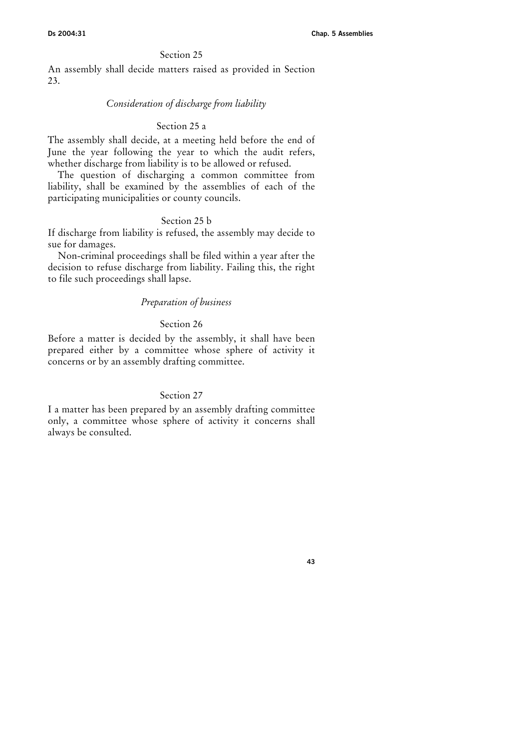An assembly shall decide matters raised as provided in Section 23.

#### Consideration of discharge from liability

## Section 25 a

The assembly shall decide, at a meeting held before the end of June the year following the year to which the audit refers, whether discharge from liability is to be allowed or refused.

The question of discharging a common committee from liability, shall be examined by the assemblies of each of the participating municipalities or county councils.

## Section 25 b

If discharge from liability is refused, the assembly may decide to sue for damages.

Non-criminal proceedings shall be filed within a year after the decision to refuse discharge from liability. Failing this, the right to file such proceedings shall lapse.

## Preparation of business

## Section 26

Before a matter is decided by the assembly, it shall have been prepared either by a committee whose sphere of activity it concerns or by an assembly drafting committee.

## Section 27

I a matter has been prepared by an assembly drafting committee only, a committee whose sphere of activity it concerns shall always be consulted.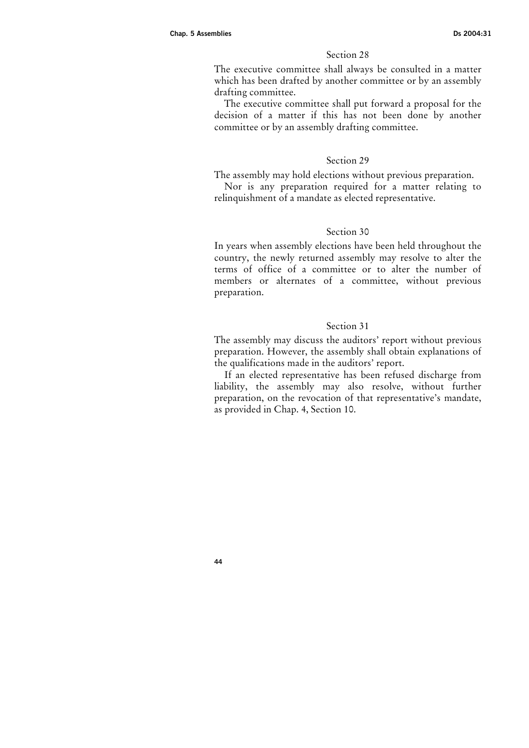The executive committee shall always be consulted in a matter which has been drafted by another committee or by an assembly drafting committee.

The executive committee shall put forward a proposal for the decision of a matter if this has not been done by another committee or by an assembly drafting committee.

## Section 29

The assembly may hold elections without previous preparation.

Nor is any preparation required for a matter relating to relinquishment of a mandate as elected representative.

## Section 30

In years when assembly elections have been held throughout the country, the newly returned assembly may resolve to alter the terms of office of a committee or to alter the number of members or alternates of a committee, without previous preparation.

## Section 31

The assembly may discuss the auditors' report without previous preparation. However, the assembly shall obtain explanations of the qualifications made in the auditors' report.

If an elected representative has been refused discharge from liability, the assembly may also resolve, without further preparation, on the revocation of that representative's mandate, as provided in Chap. 4, Section 10.

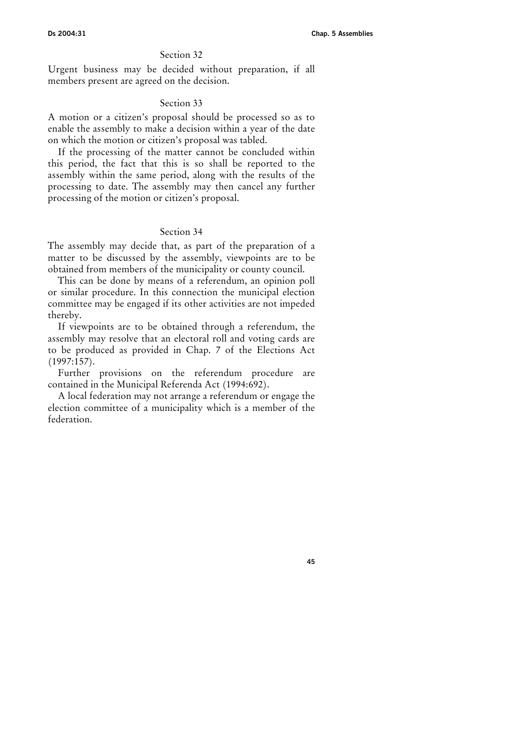Urgent business may be decided without preparation, if all members present are agreed on the decision.

## Section 33

A motion or a citizen's proposal should be processed so as to enable the assembly to make a decision within a year of the date on which the motion or citizen's proposal was tabled.

If the processing of the matter cannot be concluded within this period, the fact that this is so shall be reported to the assembly within the same period, along with the results of the processing to date. The assembly may then cancel any further processing of the motion or citizen's proposal.

## Section 34

The assembly may decide that, as part of the preparation of a matter to be discussed by the assembly, viewpoints are to be obtained from members of the municipality or county council.

This can be done by means of a referendum, an opinion poll or similar procedure. In this connection the municipal election committee may be engaged if its other activities are not impeded thereby.

If viewpoints are to be obtained through a referendum, the assembly may resolve that an electoral roll and voting cards are to be produced as provided in Chap. 7 of the Elections Act (1997:157).

Further provisions on the referendum procedure are contained in the Municipal Referenda Act (1994:692).

A local federation may not arrange a referendum or engage the election committee of a municipality which is a member of the federation.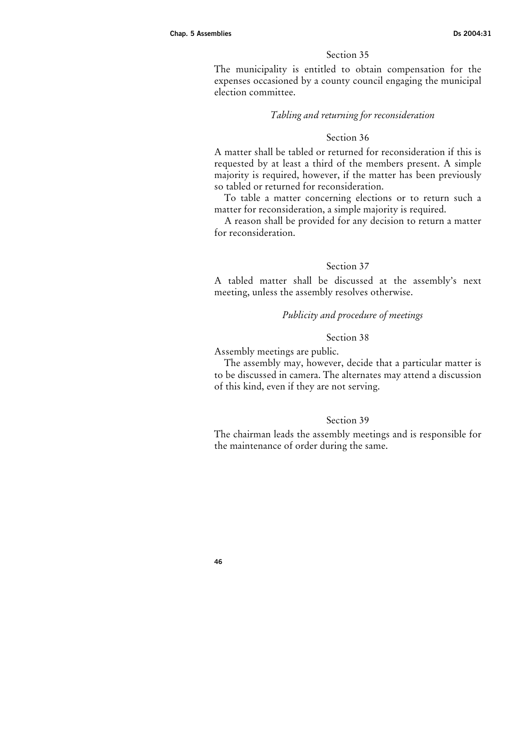The municipality is entitled to obtain compensation for the expenses occasioned by a county council engaging the municipal election committee.

# Tabling and returning for reconsideration

#### Section 36

A matter shall be tabled or returned for reconsideration if this is requested by at least a third of the members present. A simple majority is required, however, if the matter has been previously so tabled or returned for reconsideration.

To table a matter concerning elections or to return such a matter for reconsideration, a simple majority is required.

A reason shall be provided for any decision to return a matter for reconsideration.

## Section 37

A tabled matter shall be discussed at the assembly's next meeting, unless the assembly resolves otherwise.

# Publicity and procedure of meetings

## Section 38

Assembly meetings are public.

The assembly may, however, decide that a particular matter is to be discussed in camera. The alternates may attend a discussion of this kind, even if they are not serving.

## Section 39

The chairman leads the assembly meetings and is responsible for the maintenance of order during the same.

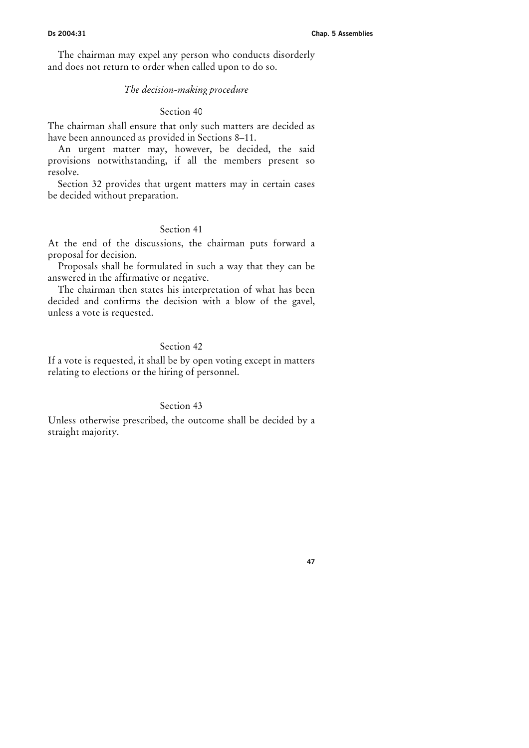The chairman may expel any person who conducts disorderly and does not return to order when called upon to do so.

## The decision-making procedure

## Section 40

The chairman shall ensure that only such matters are decided as have been announced as provided in Sections 8–11.

An urgent matter may, however, be decided, the said provisions notwithstanding, if all the members present so resolve.

Section 32 provides that urgent matters may in certain cases be decided without preparation.

# Section 41

At the end of the discussions, the chairman puts forward a proposal for decision.

Proposals shall be formulated in such a way that they can be answered in the affirmative or negative.

The chairman then states his interpretation of what has been decided and confirms the decision with a blow of the gavel, unless a vote is requested.

## Section 42

If a vote is requested, it shall be by open voting except in matters relating to elections or the hiring of personnel.

## Section 43

Unless otherwise prescribed, the outcome shall be decided by a straight majority.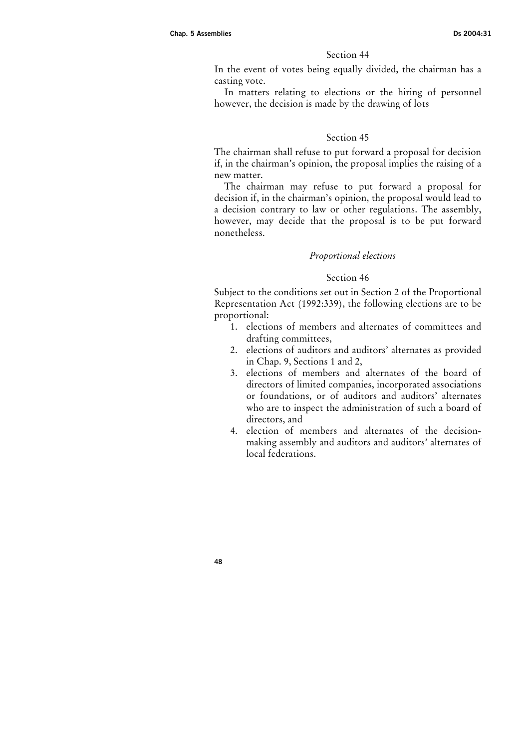In the event of votes being equally divided, the chairman has a casting vote.

In matters relating to elections or the hiring of personnel however, the decision is made by the drawing of lots

#### Section 45

The chairman shall refuse to put forward a proposal for decision if, in the chairman's opinion, the proposal implies the raising of a new matter.

The chairman may refuse to put forward a proposal for decision if, in the chairman's opinion, the proposal would lead to a decision contrary to law or other regulations. The assembly, however, may decide that the proposal is to be put forward nonetheless.

#### Proportional elections

#### Section 46

Subject to the conditions set out in Section 2 of the Proportional Representation Act (1992:339), the following elections are to be proportional:

- 1. elections of members and alternates of committees and drafting committees,
- 2. elections of auditors and auditors' alternates as provided in Chap. 9, Sections 1 and 2,
- 3. elections of members and alternates of the board of directors of limited companies, incorporated associations or foundations, or of auditors and auditors' alternates who are to inspect the administration of such a board of directors, and
- 4. election of members and alternates of the decisionmaking assembly and auditors and auditors' alternates of local federations.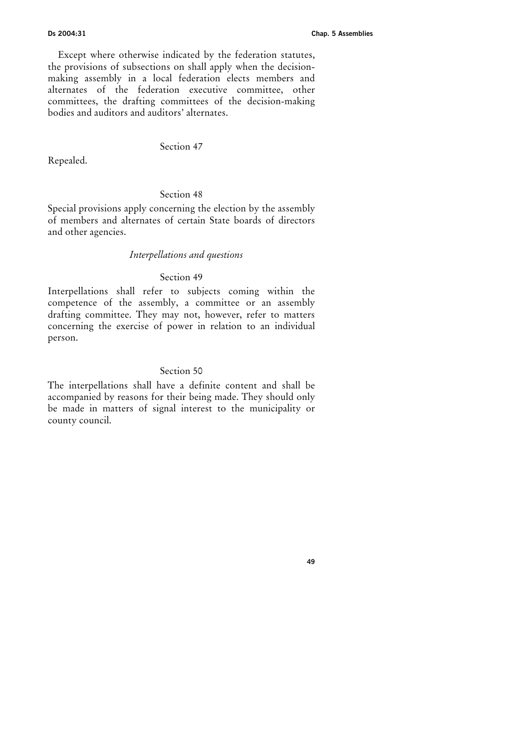Except where otherwise indicated by the federation statutes, the provisions of subsections on shall apply when the decisionmaking assembly in a local federation elects members and alternates of the federation executive committee, other committees, the drafting committees of the decision-making bodies and auditors and auditors' alternates.

# Section 47

Repealed.

## Section 48

Special provisions apply concerning the election by the assembly of members and alternates of certain State boards of directors and other agencies.

#### Interpellations and questions

## Section 49

Interpellations shall refer to subjects coming within the competence of the assembly, a committee or an assembly drafting committee. They may not, however, refer to matters concerning the exercise of power in relation to an individual person.

## Section 50

The interpellations shall have a definite content and shall be accompanied by reasons for their being made. They should only be made in matters of signal interest to the municipality or county council.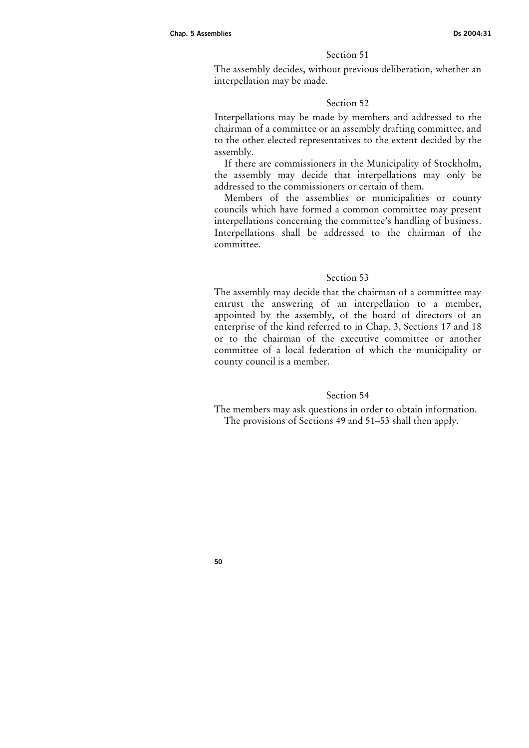The assembly decides, without previous deliberation, whether an interpellation may be made.

## Section 52

Interpellations may be made by members and addressed to the chairman of a committee or an assembly drafting committee, and to the other elected representatives to the extent decided by the assembly.

If there are commissioners in the Municipality of Stockholm, the assembly may decide that interpellations may only be addressed to the commissioners or certain of them.

Members of the assemblies or municipalities or county councils which have formed a common committee may present interpellations concerning the committee's handling of business. Interpellations shall be addressed to the chairman of the committee.

# Section 53

The assembly may decide that the chairman of a committee may entrust the answering of an interpellation to a member, appointed by the assembly, of the board of directors of an enterprise of the kind referred to in Chap. 3, Sections 17 and 18 or to the chairman of the executive committee or another committee of a local federation of which the municipality or county council is a member.

## Section 54

The members may ask questions in order to obtain information. The provisions of Sections 49 and 51–53 shall then apply.

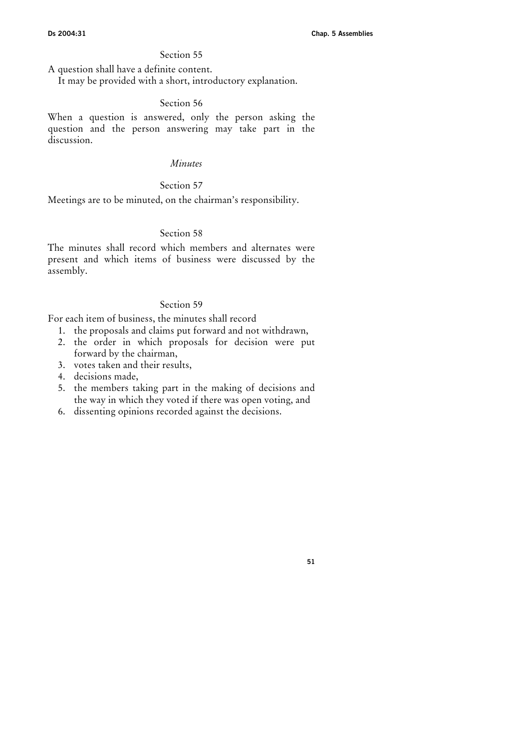A question shall have a definite content.

It may be provided with a short, introductory explanation.

## Section 56

When a question is answered, only the person asking the question and the person answering may take part in the discussion.

# Minutes

#### Section 57

Meetings are to be minuted, on the chairman's responsibility.

## Section 58

The minutes shall record which members and alternates were present and which items of business were discussed by the assembly.

## Section 59

For each item of business, the minutes shall record

- 1. the proposals and claims put forward and not withdrawn,
- 2. the order in which proposals for decision were put forward by the chairman,
- 3. votes taken and their results,
- 4. decisions made,
- 5. the members taking part in the making of decisions and the way in which they voted if there was open voting, and
- 6. dissenting opinions recorded against the decisions.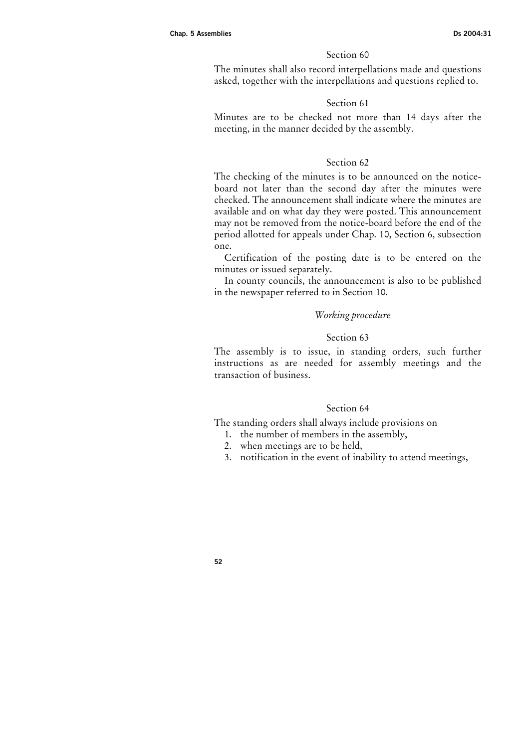The minutes shall also record interpellations made and questions asked, together with the interpellations and questions replied to.

# Section 61

Minutes are to be checked not more than 14 days after the meeting, in the manner decided by the assembly.

## Section 62

The checking of the minutes is to be announced on the noticeboard not later than the second day after the minutes were checked. The announcement shall indicate where the minutes are available and on what day they were posted. This announcement may not be removed from the notice-board before the end of the period allotted for appeals under Chap. 10, Section 6, subsection one.

Certification of the posting date is to be entered on the minutes or issued separately.

In county councils, the announcement is also to be published in the newspaper referred to in Section 10.

# Working procedure

#### Section 63

The assembly is to issue, in standing orders, such further instructions as are needed for assembly meetings and the transaction of business.

## Section 64

The standing orders shall always include provisions on

- 1. the number of members in the assembly,
- 2. when meetings are to be held,
- 3. notification in the event of inability to attend meetings,

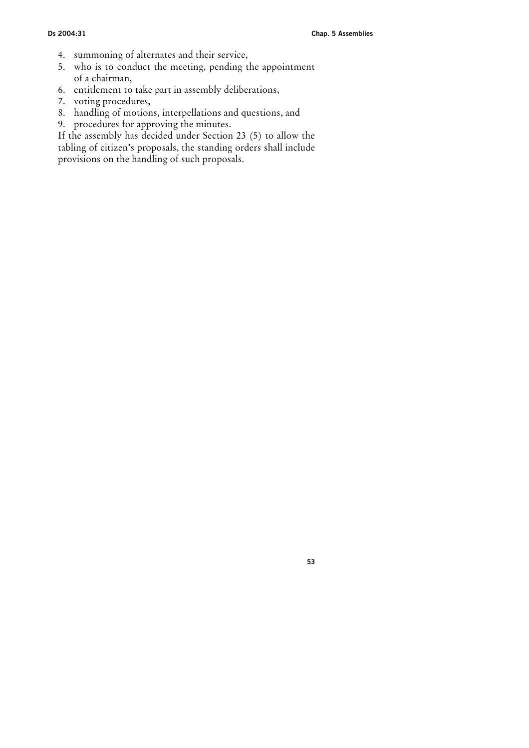- 4. summoning of alternates and their service,
- 5. who is to conduct the meeting, pending the appointment of a chairman,
- 6. entitlement to take part in assembly deliberations,
- 7. voting procedures,
- 8. handling of motions, interpellations and questions, and
- 9. procedures for approving the minutes.

If the assembly has decided under Section 23 (5) to allow the tabling of citizen's proposals, the standing orders shall include provisions on the handling of such proposals.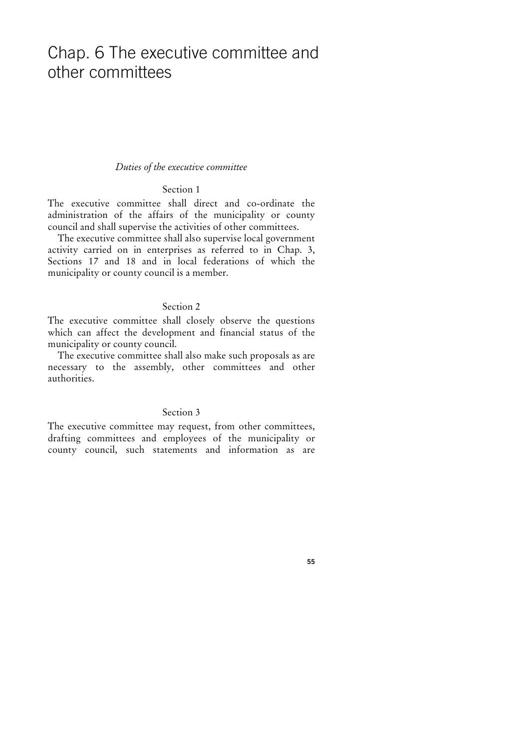# Chap. 6 The executive committee and other committees

#### Duties of the executive committee

# Section 1

The executive committee shall direct and co-ordinate the administration of the affairs of the municipality or county council and shall supervise the activities of other committees.

The executive committee shall also supervise local government activity carried on in enterprises as referred to in Chap. 3, Sections 17 and 18 and in local federations of which the municipality or county council is a member.

## Section 2

The executive committee shall closely observe the questions which can affect the development and financial status of the municipality or county council.

The executive committee shall also make such proposals as are necessary to the assembly, other committees and other authorities.

## Section 3

The executive committee may request, from other committees, drafting committees and employees of the municipality or county council, such statements and information as are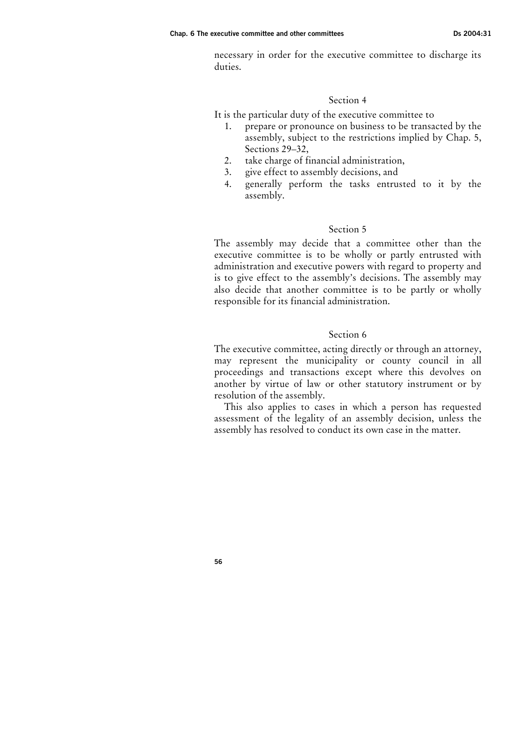#### Chap. 6 The executive committee and other committees Ds 2004:31

necessary in order for the executive committee to discharge its duties.

## Section 4

It is the particular duty of the executive committee to

- 1. prepare or pronounce on business to be transacted by the assembly, subject to the restrictions implied by Chap. 5, Sections 29–32,
- 2. take charge of financial administration,
- 3. give effect to assembly decisions, and
- 4. generally perform the tasks entrusted to it by the assembly.

## Section 5

The assembly may decide that a committee other than the executive committee is to be wholly or partly entrusted with administration and executive powers with regard to property and is to give effect to the assembly's decisions. The assembly may also decide that another committee is to be partly or wholly responsible for its financial administration.

## Section 6

The executive committee, acting directly or through an attorney, may represent the municipality or county council in all proceedings and transactions except where this devolves on another by virtue of law or other statutory instrument or by resolution of the assembly.

This also applies to cases in which a person has requested assessment of the legality of an assembly decision, unless the assembly has resolved to conduct its own case in the matter.

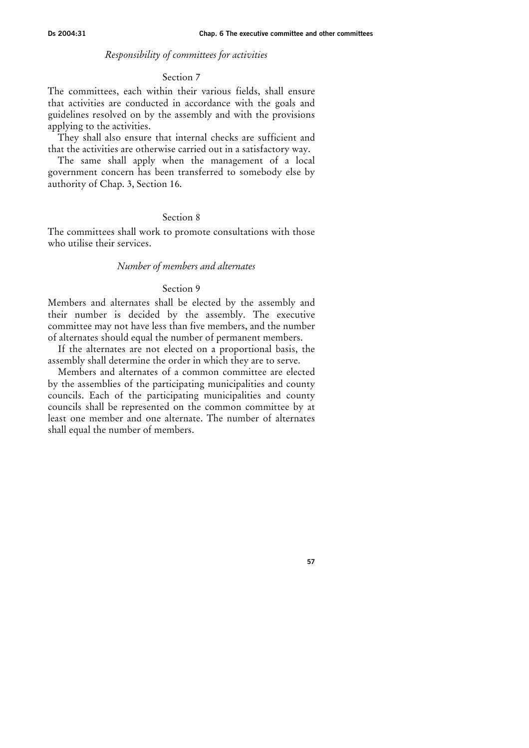#### Responsibility of committees for activities

#### Section 7

The committees, each within their various fields, shall ensure that activities are conducted in accordance with the goals and guidelines resolved on by the assembly and with the provisions applying to the activities.

They shall also ensure that internal checks are sufficient and that the activities are otherwise carried out in a satisfactory way.

The same shall apply when the management of a local government concern has been transferred to somebody else by authority of Chap. 3, Section 16.

## Section 8

The committees shall work to promote consultations with those who utilise their services.

## Number of members and alternates

## Section 9

Members and alternates shall be elected by the assembly and their number is decided by the assembly. The executive committee may not have less than five members, and the number of alternates should equal the number of permanent members.

If the alternates are not elected on a proportional basis, the assembly shall determine the order in which they are to serve.

Members and alternates of a common committee are elected by the assemblies of the participating municipalities and county councils. Each of the participating municipalities and county councils shall be represented on the common committee by at least one member and one alternate. The number of alternates shall equal the number of members.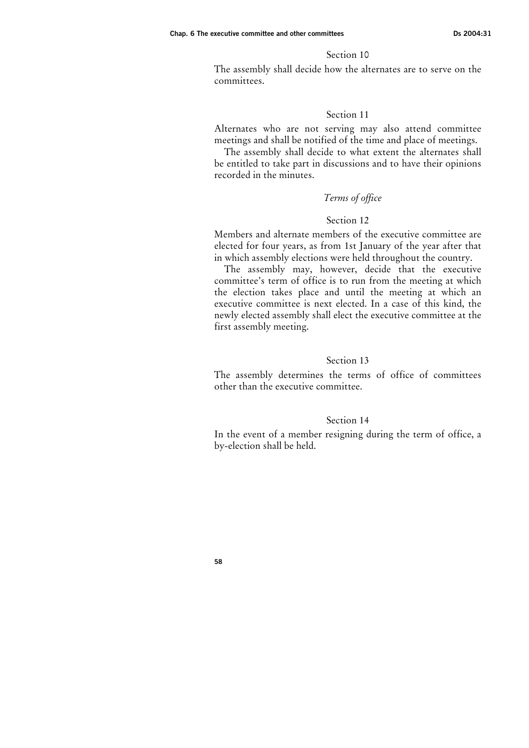The assembly shall decide how the alternates are to serve on the committees.

#### Section 11

Alternates who are not serving may also attend committee meetings and shall be notified of the time and place of meetings.

The assembly shall decide to what extent the alternates shall be entitled to take part in discussions and to have their opinions recorded in the minutes.

## Terms of office

## Section 12

Members and alternate members of the executive committee are elected for four years, as from 1st January of the year after that in which assembly elections were held throughout the country.

The assembly may, however, decide that the executive committee's term of office is to run from the meeting at which the election takes place and until the meeting at which an executive committee is next elected. In a case of this kind, the newly elected assembly shall elect the executive committee at the first assembly meeting.

## Section 13

The assembly determines the terms of office of committees other than the executive committee.

#### Section 14

In the event of a member resigning during the term of office, a by-election shall be held.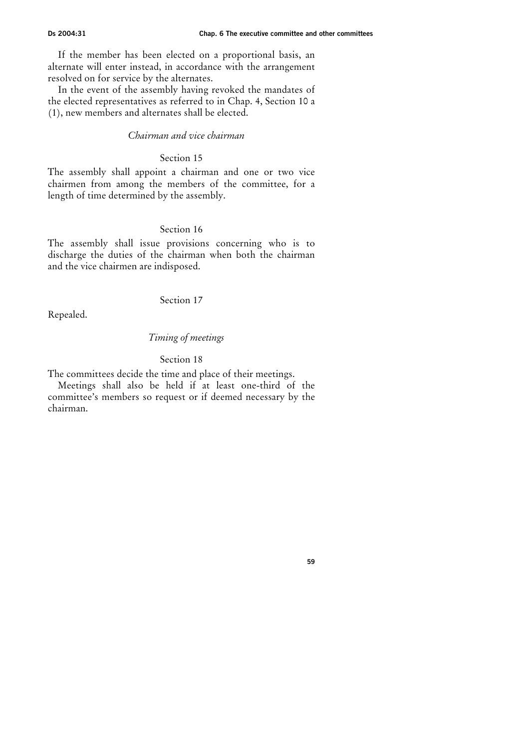If the member has been elected on a proportional basis, an alternate will enter instead, in accordance with the arrangement resolved on for service by the alternates.

In the event of the assembly having revoked the mandates of the elected representatives as referred to in Chap. 4, Section 10 a (1), new members and alternates shall be elected.

## Chairman and vice chairman

## Section 15

The assembly shall appoint a chairman and one or two vice chairmen from among the members of the committee, for a length of time determined by the assembly.

# Section 16

The assembly shall issue provisions concerning who is to discharge the duties of the chairman when both the chairman and the vice chairmen are indisposed.

## Section 17

Repealed.

## Timing of meetings

#### Section 18

The committees decide the time and place of their meetings.

Meetings shall also be held if at least one-third of the committee's members so request or if deemed necessary by the chairman.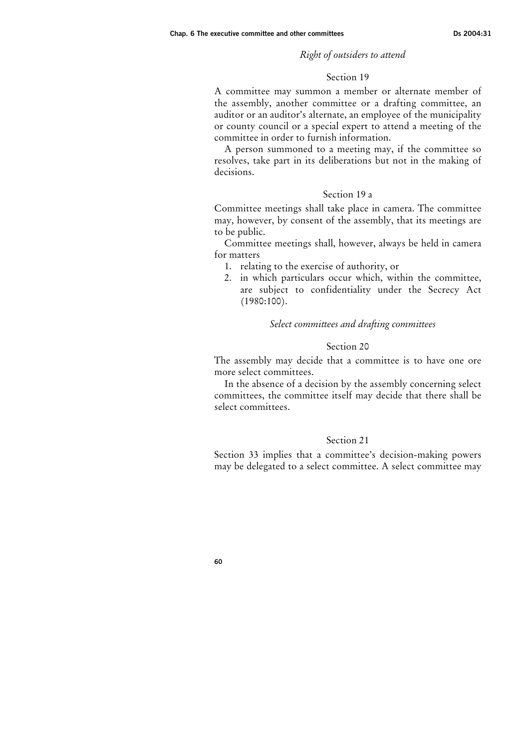## Right of outsiders to attend

#### Section 19

A committee may summon a member or alternate member of the assembly, another committee or a drafting committee, an auditor or an auditor's alternate, an employee of the municipality or county council or a special expert to attend a meeting of the committee in order to furnish information.

A person summoned to a meeting may, if the committee so resolves, take part in its deliberations but not in the making of decisions.

#### Section 19 a

Committee meetings shall take place in camera. The committee may, however, by consent of the assembly, that its meetings are to be public.

Committee meetings shall, however, always be held in camera for matters

- 1. relating to the exercise of authority, or
- 2. in which particulars occur which, within the committee, are subject to confidentiality under the Secrecy Act (1980:100).

#### Select committees and drafting committees

## Section 20

The assembly may decide that a committee is to have one ore more select committees.

In the absence of a decision by the assembly concerning select committees, the committee itself may decide that there shall be select committees.

#### Section 21

Section 33 implies that a committee's decision-making powers may be delegated to a select committee. A select committee may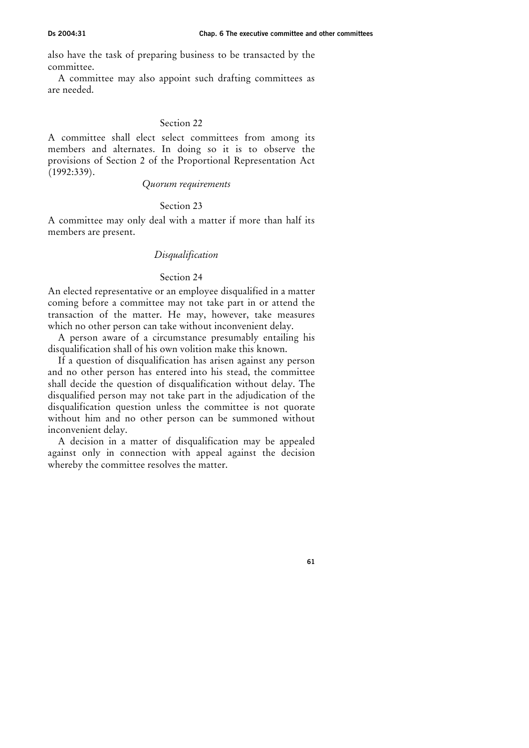also have the task of preparing business to be transacted by the committee.

A committee may also appoint such drafting committees as are needed.

# Section 22

A committee shall elect select committees from among its members and alternates. In doing so it is to observe the provisions of Section 2 of the Proportional Representation Act (1992:339).

#### Quorum requirements

## Section 23

A committee may only deal with a matter if more than half its members are present.

## Disqualification

## Section 24

An elected representative or an employee disqualified in a matter coming before a committee may not take part in or attend the transaction of the matter. He may, however, take measures which no other person can take without inconvenient delay.

A person aware of a circumstance presumably entailing his disqualification shall of his own volition make this known.

If a question of disqualification has arisen against any person and no other person has entered into his stead, the committee shall decide the question of disqualification without delay. The disqualified person may not take part in the adjudication of the disqualification question unless the committee is not quorate without him and no other person can be summoned without inconvenient delay.

A decision in a matter of disqualification may be appealed against only in connection with appeal against the decision whereby the committee resolves the matter.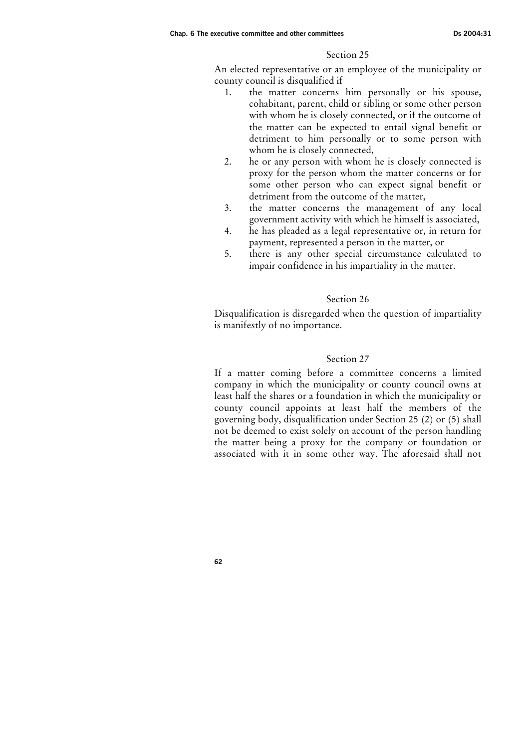An elected representative or an employee of the municipality or county council is disqualified if

- 1. the matter concerns him personally or his spouse, cohabitant, parent, child or sibling or some other person with whom he is closely connected, or if the outcome of the matter can be expected to entail signal benefit or detriment to him personally or to some person with whom he is closely connected,
- 2. he or any person with whom he is closely connected is proxy for the person whom the matter concerns or for some other person who can expect signal benefit or detriment from the outcome of the matter,
- 3. the matter concerns the management of any local government activity with which he himself is associated,
- 4. he has pleaded as a legal representative or, in return for payment, represented a person in the matter, or
- 5. there is any other special circumstance calculated to impair confidence in his impartiality in the matter.

## Section 26

Disqualification is disregarded when the question of impartiality is manifestly of no importance.

## Section 27

If a matter coming before a committee concerns a limited company in which the municipality or county council owns at least half the shares or a foundation in which the municipality or county council appoints at least half the members of the governing body, disqualification under Section 25 (2) or (5) shall not be deemed to exist solely on account of the person handling the matter being a proxy for the company or foundation or associated with it in some other way. The aforesaid shall not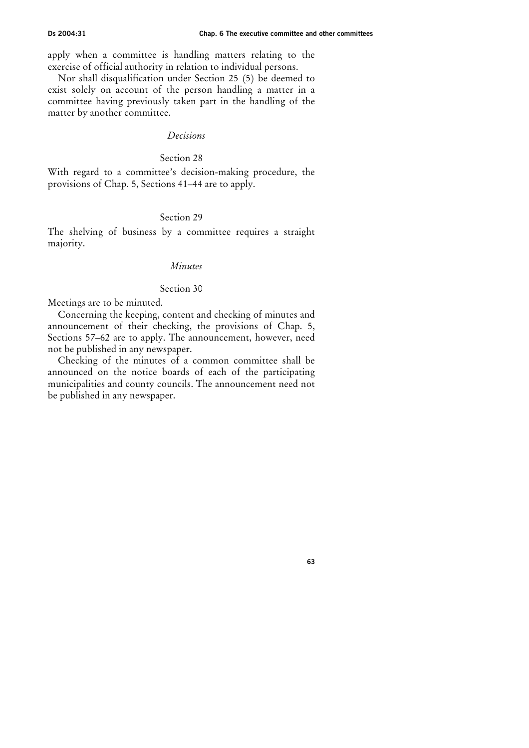apply when a committee is handling matters relating to the exercise of official authority in relation to individual persons.

Nor shall disqualification under Section 25 (5) be deemed to exist solely on account of the person handling a matter in a committee having previously taken part in the handling of the matter by another committee.

#### Decisions

#### Section 28

With regard to a committee's decision-making procedure, the provisions of Chap. 5, Sections 41–44 are to apply.

## Section 29

The shelving of business by a committee requires a straight majority.

# Minutes

## Section 30

Meetings are to be minuted.

Concerning the keeping, content and checking of minutes and announcement of their checking, the provisions of Chap. 5, Sections 57–62 are to apply. The announcement, however, need not be published in any newspaper.

Checking of the minutes of a common committee shall be announced on the notice boards of each of the participating municipalities and county councils. The announcement need not be published in any newspaper.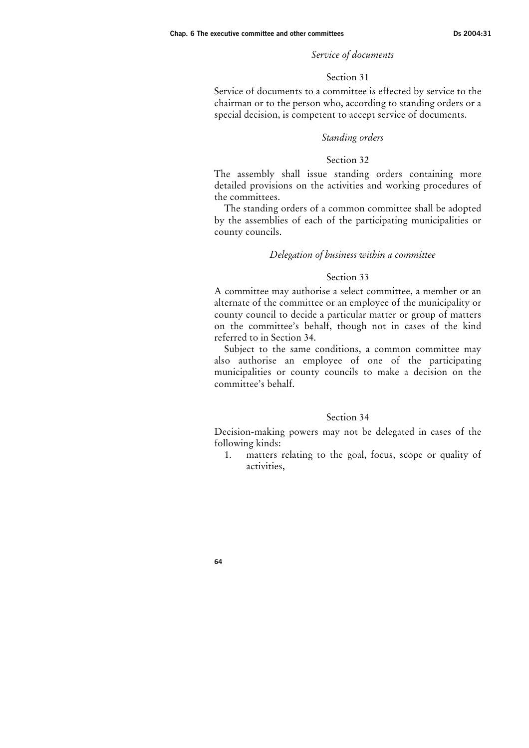#### Service of documents

#### Section 31

Service of documents to a committee is effected by service to the chairman or to the person who, according to standing orders or a special decision, is competent to accept service of documents.

#### Standing orders

#### Section 32

The assembly shall issue standing orders containing more detailed provisions on the activities and working procedures of the committees.

The standing orders of a common committee shall be adopted by the assemblies of each of the participating municipalities or county councils.

#### Delegation of business within a committee

#### Section 33

A committee may authorise a select committee, a member or an alternate of the committee or an employee of the municipality or county council to decide a particular matter or group of matters on the committee's behalf, though not in cases of the kind referred to in Section 34.

Subject to the same conditions, a common committee may also authorise an employee of one of the participating municipalities or county councils to make a decision on the committee's behalf.

#### Section 34

Decision-making powers may not be delegated in cases of the following kinds:

1. matters relating to the goal, focus, scope or quality of activities,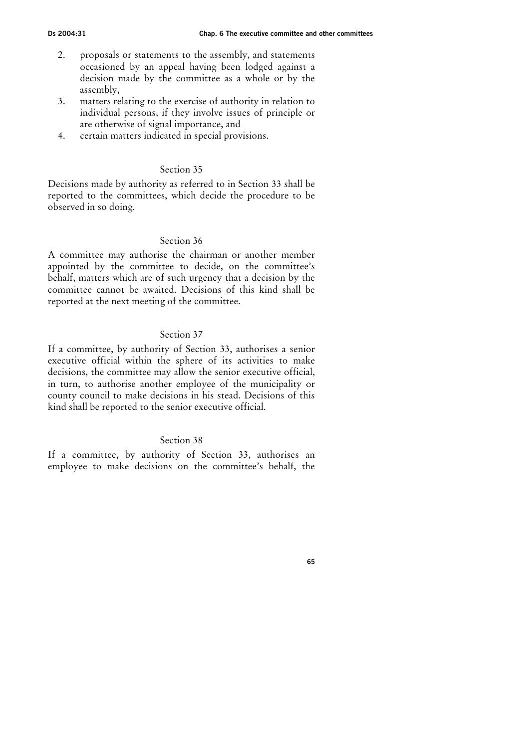- 2. proposals or statements to the assembly, and statements occasioned by an appeal having been lodged against a decision made by the committee as a whole or by the assembly,
- 3. matters relating to the exercise of authority in relation to individual persons, if they involve issues of principle or are otherwise of signal importance, and
- 4. certain matters indicated in special provisions.

Decisions made by authority as referred to in Section 33 shall be reported to the committees, which decide the procedure to be observed in so doing.

## Section 36

A committee may authorise the chairman or another member appointed by the committee to decide, on the committee's behalf, matters which are of such urgency that a decision by the committee cannot be awaited. Decisions of this kind shall be reported at the next meeting of the committee.

## Section 37

If a committee, by authority of Section 33, authorises a senior executive official within the sphere of its activities to make decisions, the committee may allow the senior executive official, in turn, to authorise another employee of the municipality or county council to make decisions in his stead. Decisions of this kind shall be reported to the senior executive official.

## Section 38

If a committee, by authority of Section 33, authorises an employee to make decisions on the committee's behalf, the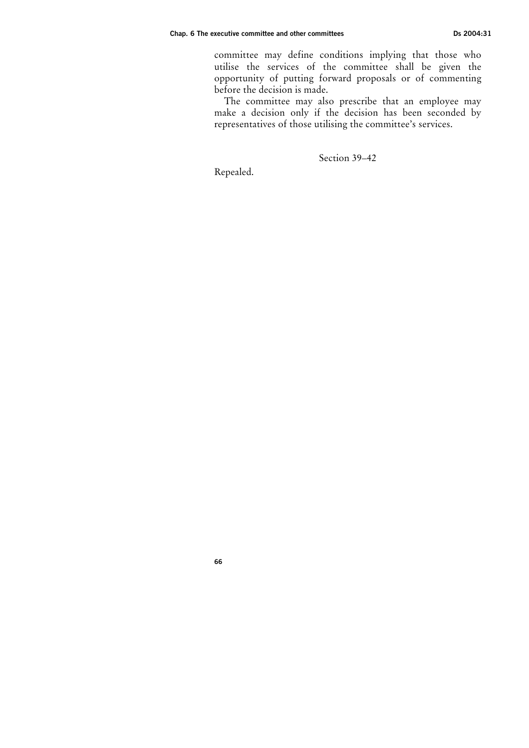committee may define conditions implying that those who utilise the services of the committee shall be given the opportunity of putting forward proposals or of commenting before the decision is made.

The committee may also prescribe that an employee may make a decision only if the decision has been seconded by representatives of those utilising the committee's services.

Section 39–42

Repealed.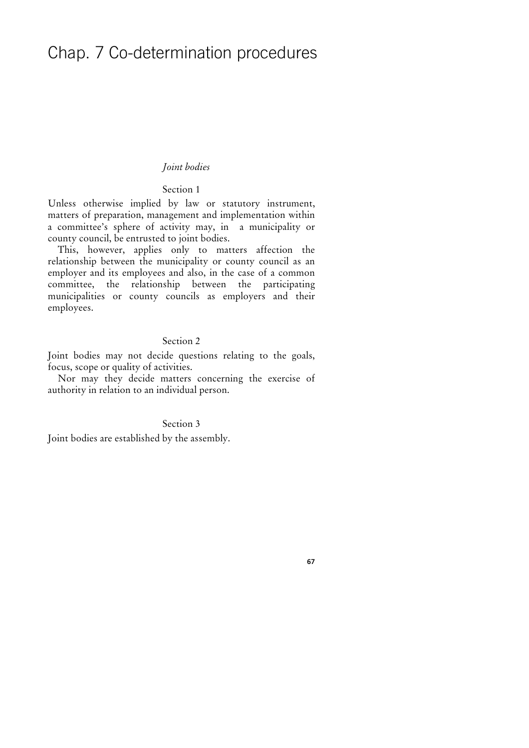# Chap. 7 Co-determination procedures

#### Joint bodies

## Section 1

Unless otherwise implied by law or statutory instrument, matters of preparation, management and implementation within a committee's sphere of activity may, in a municipality or county council, be entrusted to joint bodies.

This, however, applies only to matters affection the relationship between the municipality or county council as an employer and its employees and also, in the case of a common committee, the relationship between the participating municipalities or county councils as employers and their employees.

#### Section 2

Joint bodies may not decide questions relating to the goals, focus, scope or quality of activities.

Nor may they decide matters concerning the exercise of authority in relation to an individual person.

## Section 3

Joint bodies are established by the assembly.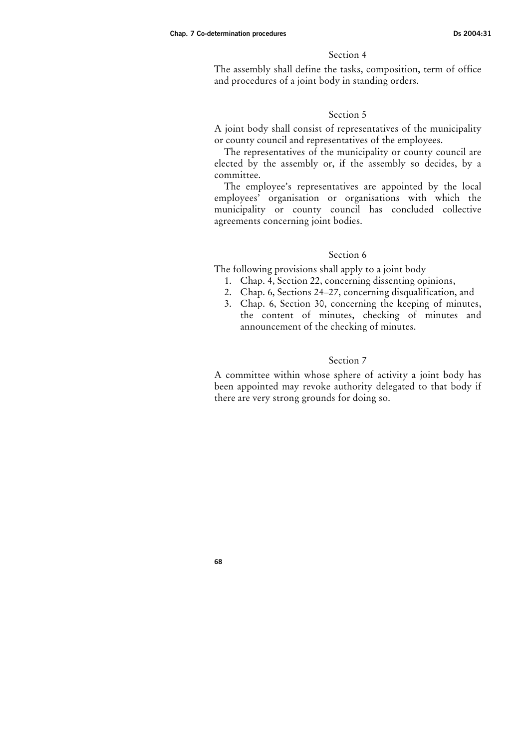The assembly shall define the tasks, composition, term of office and procedures of a joint body in standing orders.

#### Section 5

A joint body shall consist of representatives of the municipality or county council and representatives of the employees.

The representatives of the municipality or county council are elected by the assembly or, if the assembly so decides, by a committee.

The employee's representatives are appointed by the local employees' organisation or organisations with which the municipality or county council has concluded collective agreements concerning joint bodies.

## Section 6

The following provisions shall apply to a joint body

- 1. Chap. 4, Section 22, concerning dissenting opinions,
- 2. Chap. 6, Sections 24–27, concerning disqualification, and
- 3. Chap. 6, Section 30, concerning the keeping of minutes, the content of minutes, checking of minutes and announcement of the checking of minutes.

## Section 7

A committee within whose sphere of activity a joint body has been appointed may revoke authority delegated to that body if there are very strong grounds for doing so.

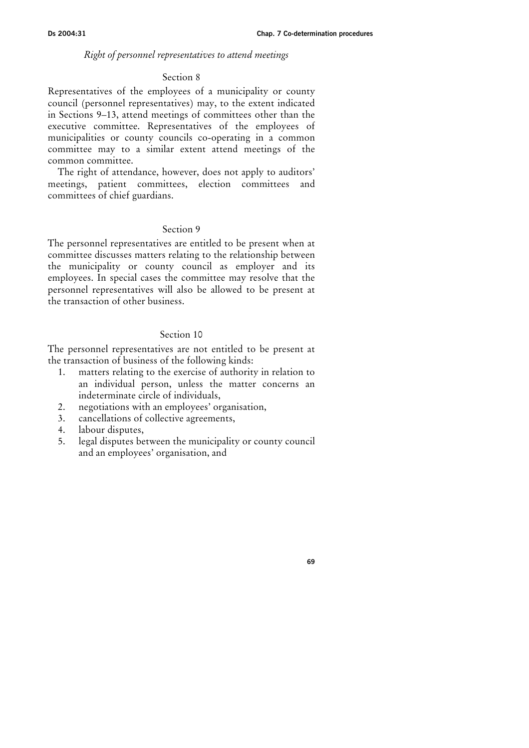## Right of personnel representatives to attend meetings

#### Section 8

Representatives of the employees of a municipality or county council (personnel representatives) may, to the extent indicated in Sections 9–13, attend meetings of committees other than the executive committee. Representatives of the employees of municipalities or county councils co-operating in a common committee may to a similar extent attend meetings of the common committee.

The right of attendance, however, does not apply to auditors' meetings, patient committees, election committees and committees of chief guardians.

# Section 9

The personnel representatives are entitled to be present when at committee discusses matters relating to the relationship between the municipality or county council as employer and its employees. In special cases the committee may resolve that the personnel representatives will also be allowed to be present at the transaction of other business.

## Section 10

The personnel representatives are not entitled to be present at the transaction of business of the following kinds:

- 1. matters relating to the exercise of authority in relation to an individual person, unless the matter concerns an indeterminate circle of individuals,
- 2. negotiations with an employees' organisation,
- 3. cancellations of collective agreements,
- 4. labour disputes,
- 5. legal disputes between the municipality or county council and an employees' organisation, and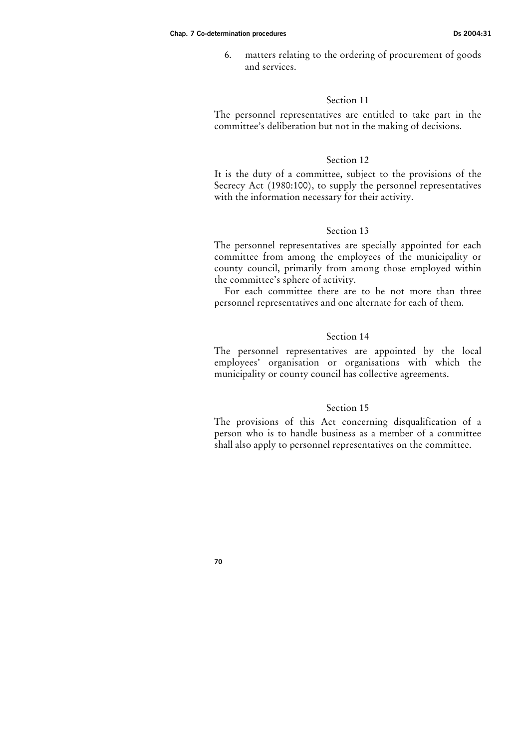6. matters relating to the ordering of procurement of goods and services.

## Section 11

The personnel representatives are entitled to take part in the committee's deliberation but not in the making of decisions.

## Section 12

It is the duty of a committee, subject to the provisions of the Secrecy Act (1980:100), to supply the personnel representatives with the information necessary for their activity.

# Section 13

The personnel representatives are specially appointed for each committee from among the employees of the municipality or county council, primarily from among those employed within the committee's sphere of activity.

For each committee there are to be not more than three personnel representatives and one alternate for each of them.

## Section 14

The personnel representatives are appointed by the local employees' organisation or organisations with which the municipality or county council has collective agreements.

## Section 15

The provisions of this Act concerning disqualification of a person who is to handle business as a member of a committee shall also apply to personnel representatives on the committee.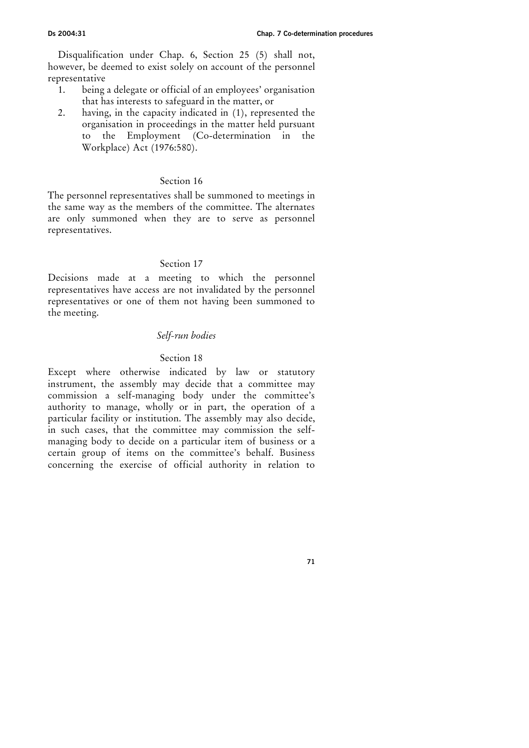Disqualification under Chap. 6, Section 25 (5) shall not, however, be deemed to exist solely on account of the personnel representative

- 1. being a delegate or official of an employees' organisation that has interests to safeguard in the matter, or
- 2. having, in the capacity indicated in (1), represented the organisation in proceedings in the matter held pursuant to the Employment (Co-determination in the Workplace) Act (1976:580).

## Section 16

The personnel representatives shall be summoned to meetings in the same way as the members of the committee. The alternates are only summoned when they are to serve as personnel representatives.

## Section 17

Decisions made at a meeting to which the personnel representatives have access are not invalidated by the personnel representatives or one of them not having been summoned to the meeting.

# Self-run bodies

## Section 18

Except where otherwise indicated by law or statutory instrument, the assembly may decide that a committee may commission a self-managing body under the committee's authority to manage, wholly or in part, the operation of a particular facility or institution. The assembly may also decide, in such cases, that the committee may commission the selfmanaging body to decide on a particular item of business or a certain group of items on the committee's behalf. Business concerning the exercise of official authority in relation to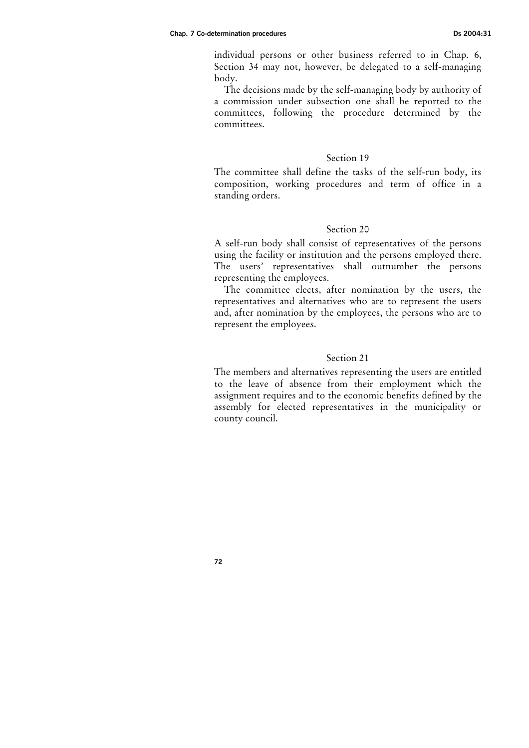individual persons or other business referred to in Chap. 6, Section 34 may not, however, be delegated to a self-managing body.

The decisions made by the self-managing body by authority of a commission under subsection one shall be reported to the committees, following the procedure determined by the committees.

#### Section 19

The committee shall define the tasks of the self-run body, its composition, working procedures and term of office in a standing orders.

## Section 20

A self-run body shall consist of representatives of the persons using the facility or institution and the persons employed there. The users' representatives shall outnumber the persons representing the employees.

The committee elects, after nomination by the users, the representatives and alternatives who are to represent the users and, after nomination by the employees, the persons who are to represent the employees.

#### Section 21

The members and alternatives representing the users are entitled to the leave of absence from their employment which the assignment requires and to the economic benefits defined by the assembly for elected representatives in the municipality or county council.

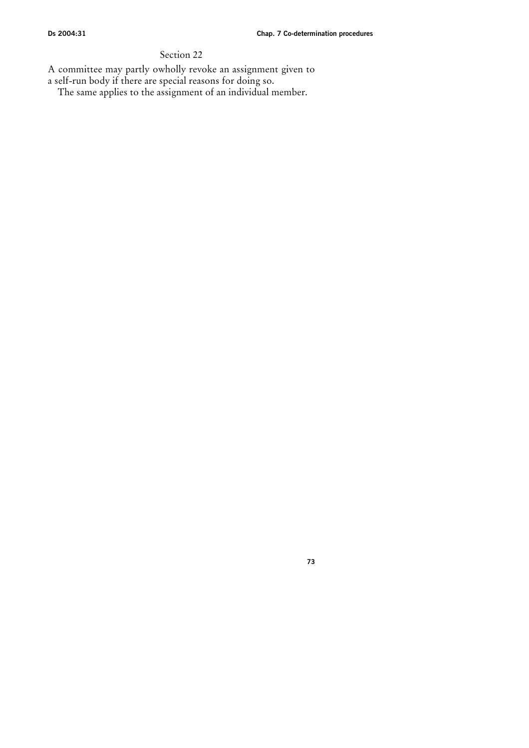A committee may partly owholly revoke an assignment given to

a self-run body if there are special reasons for doing so.

The same applies to the assignment of an individual member.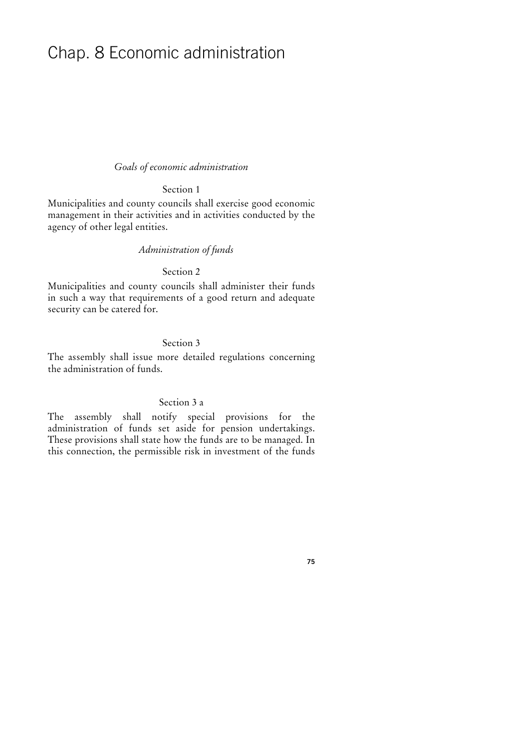# Chap. 8 Economic administration

## Goals of economic administration

# Section 1

Municipalities and county councils shall exercise good economic management in their activities and in activities conducted by the agency of other legal entities.

## Administration of funds

## Section 2

Municipalities and county councils shall administer their funds in such a way that requirements of a good return and adequate security can be catered for.

# Section 3

The assembly shall issue more detailed regulations concerning the administration of funds.

# Section 3 a

The assembly shall notify special provisions for the administration of funds set aside for pension undertakings. These provisions shall state how the funds are to be managed. In this connection, the permissible risk in investment of the funds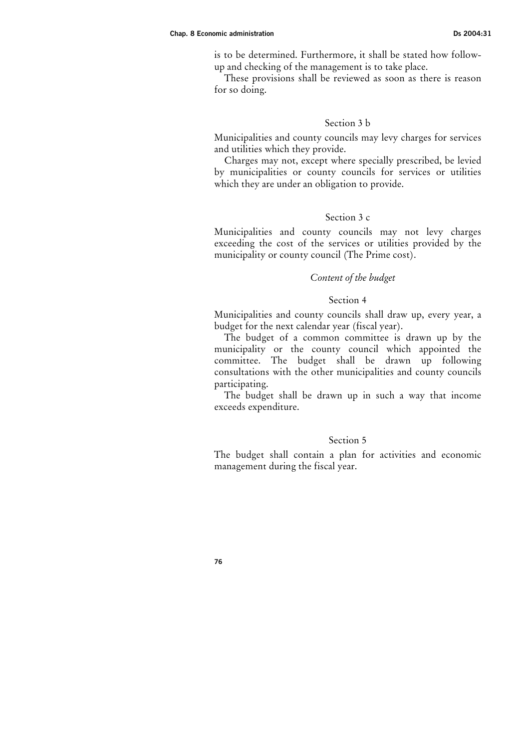is to be determined. Furthermore, it shall be stated how followup and checking of the management is to take place.

These provisions shall be reviewed as soon as there is reason for so doing.

# Section 3 b

Municipalities and county councils may levy charges for services and utilities which they provide.

Charges may not, except where specially prescribed, be levied by municipalities or county councils for services or utilities which they are under an obligation to provide.

## Section 3 c

Municipalities and county councils may not levy charges exceeding the cost of the services or utilities provided by the municipality or county council (The Prime cost).

## Content of the budget

## Section 4

Municipalities and county councils shall draw up, every year, a budget for the next calendar year (fiscal year).

The budget of a common committee is drawn up by the municipality or the county council which appointed the committee. The budget shall be drawn up following consultations with the other municipalities and county councils participating.

The budget shall be drawn up in such a way that income exceeds expenditure.

#### Section 5

The budget shall contain a plan for activities and economic management during the fiscal year.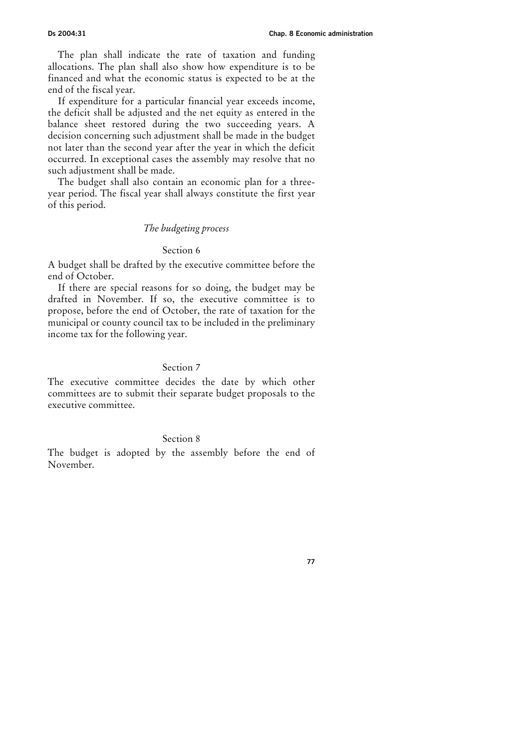The plan shall indicate the rate of taxation and funding allocations. The plan shall also show how expenditure is to be financed and what the economic status is expected to be at the end of the fiscal year.

If expenditure for a particular financial year exceeds income, the deficit shall be adjusted and the net equity as entered in the balance sheet restored during the two succeeding years. A decision concerning such adjustment shall be made in the budget not later than the second year after the year in which the deficit occurred. In exceptional cases the assembly may resolve that no such adjustment shall be made.

The budget shall also contain an economic plan for a threeyear period. The fiscal year shall always constitute the first year of this period.

## The budgeting process

## Section 6

A budget shall be drafted by the executive committee before the end of October.

If there are special reasons for so doing, the budget may be drafted in November. If so, the executive committee is to propose, before the end of October, the rate of taxation for the municipal or county council tax to be included in the preliminary income tax for the following year.

# Section 7

The executive committee decides the date by which other committees are to submit their separate budget proposals to the executive committee.

#### Section 8

The budget is adopted by the assembly before the end of November.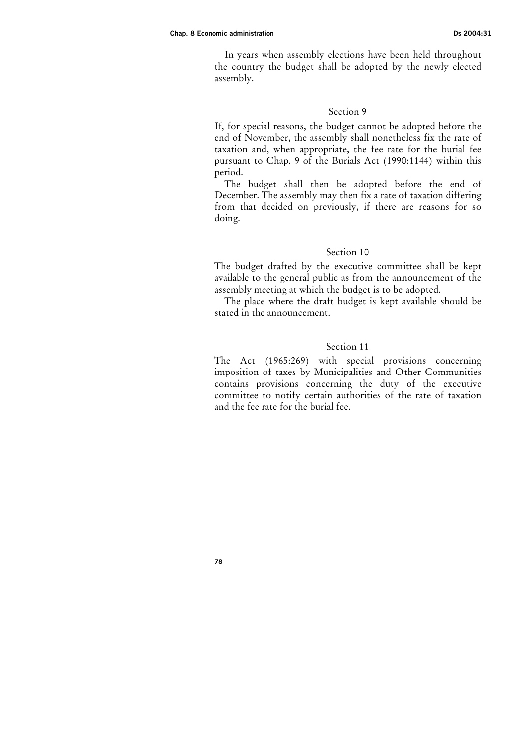In years when assembly elections have been held throughout the country the budget shall be adopted by the newly elected assembly.

## Section 9

If, for special reasons, the budget cannot be adopted before the end of November, the assembly shall nonetheless fix the rate of taxation and, when appropriate, the fee rate for the burial fee pursuant to Chap. 9 of the Burials Act (1990:1144) within this period.

The budget shall then be adopted before the end of December. The assembly may then fix a rate of taxation differing from that decided on previously, if there are reasons for so doing.

# Section 10

The budget drafted by the executive committee shall be kept available to the general public as from the announcement of the assembly meeting at which the budget is to be adopted.

The place where the draft budget is kept available should be stated in the announcement.

# Section 11

The Act (1965:269) with special provisions concerning imposition of taxes by Municipalities and Other Communities contains provisions concerning the duty of the executive committee to notify certain authorities of the rate of taxation and the fee rate for the burial fee.

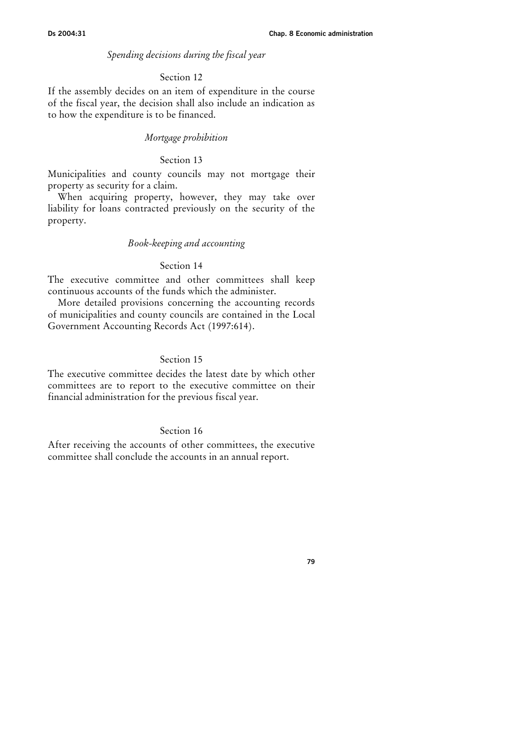### Spending decisions during the fiscal year

#### Section 12

If the assembly decides on an item of expenditure in the course of the fiscal year, the decision shall also include an indication as to how the expenditure is to be financed.

## Mortgage prohibition

## Section 13

Municipalities and county councils may not mortgage their property as security for a claim.

When acquiring property, however, they may take over liability for loans contracted previously on the security of the property.

#### Book-keeping and accounting

#### Section 14

The executive committee and other committees shall keep continuous accounts of the funds which the administer.

More detailed provisions concerning the accounting records of municipalities and county councils are contained in the Local Government Accounting Records Act (1997:614).

# Section 15

The executive committee decides the latest date by which other committees are to report to the executive committee on their financial administration for the previous fiscal year.

## Section 16

After receiving the accounts of other committees, the executive committee shall conclude the accounts in an annual report.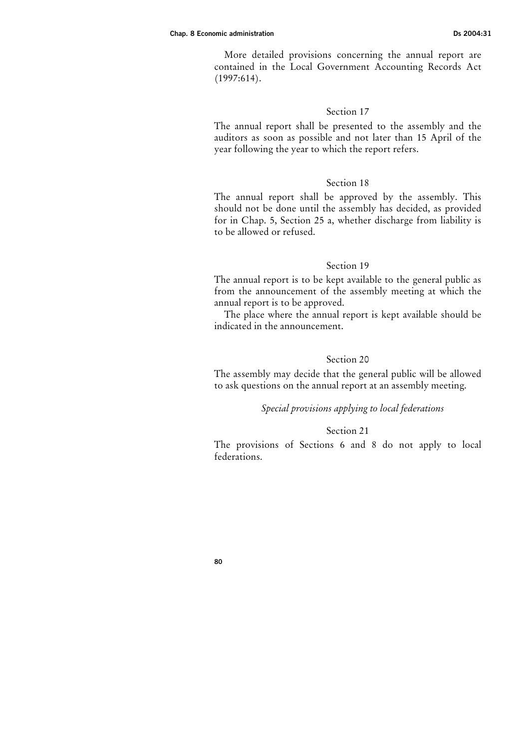More detailed provisions concerning the annual report are contained in the Local Government Accounting Records Act (1997:614).

## Section 17

The annual report shall be presented to the assembly and the auditors as soon as possible and not later than 15 April of the year following the year to which the report refers.

## Section 18

The annual report shall be approved by the assembly. This should not be done until the assembly has decided, as provided for in Chap. 5, Section 25 a, whether discharge from liability is to be allowed or refused.

# Section 19

The annual report is to be kept available to the general public as from the announcement of the assembly meeting at which the annual report is to be approved.

The place where the annual report is kept available should be indicated in the announcement.

# Section 20

The assembly may decide that the general public will be allowed to ask questions on the annual report at an assembly meeting.

# Special provisions applying to local federations

#### Section 21

The provisions of Sections 6 and 8 do not apply to local federations.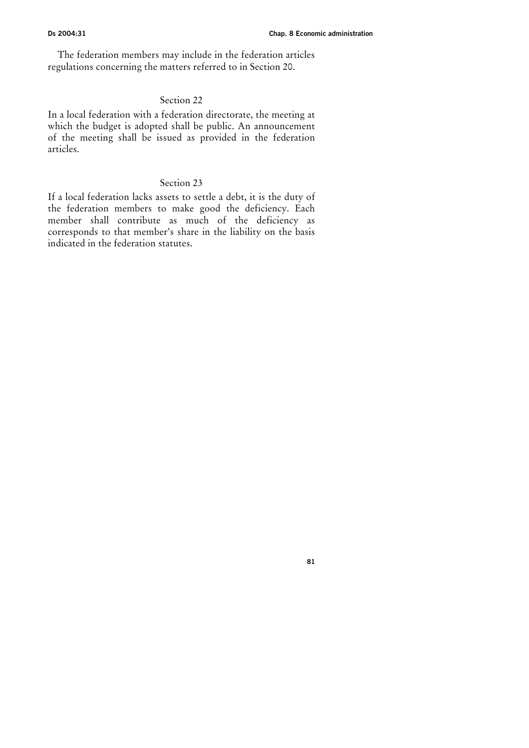The federation members may include in the federation articles regulations concerning the matters referred to in Section 20.

## Section 22

In a local federation with a federation directorate, the meeting at which the budget is adopted shall be public. An announcement of the meeting shall be issued as provided in the federation articles.

# Section 23

If a local federation lacks assets to settle a debt, it is the duty of the federation members to make good the deficiency. Each member shall contribute as much of the deficiency as corresponds to that member's share in the liability on the basis indicated in the federation statutes.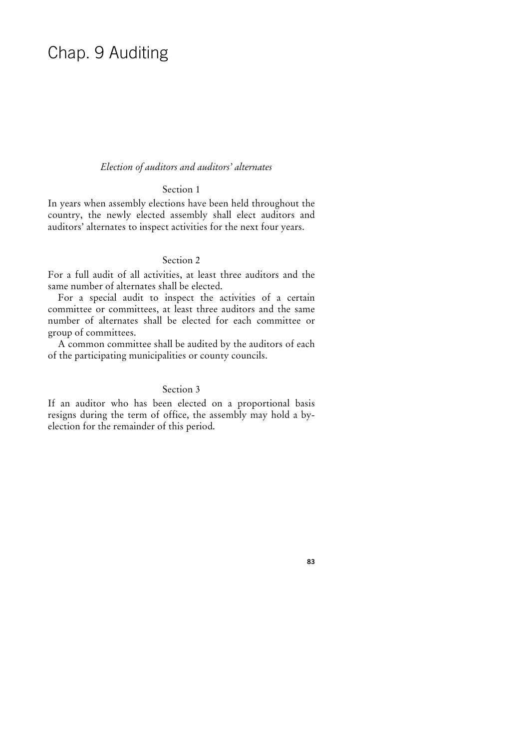# Chap. 9 Auditing

## Election of auditors and auditors' alternates

# Section 1

In years when assembly elections have been held throughout the country, the newly elected assembly shall elect auditors and auditors' alternates to inspect activities for the next four years.

## Section 2

For a full audit of all activities, at least three auditors and the same number of alternates shall be elected.

For a special audit to inspect the activities of a certain committee or committees, at least three auditors and the same number of alternates shall be elected for each committee or group of committees.

A common committee shall be audited by the auditors of each of the participating municipalities or county councils.

# Section 3

If an auditor who has been elected on a proportional basis resigns during the term of office, the assembly may hold a byelection for the remainder of this period.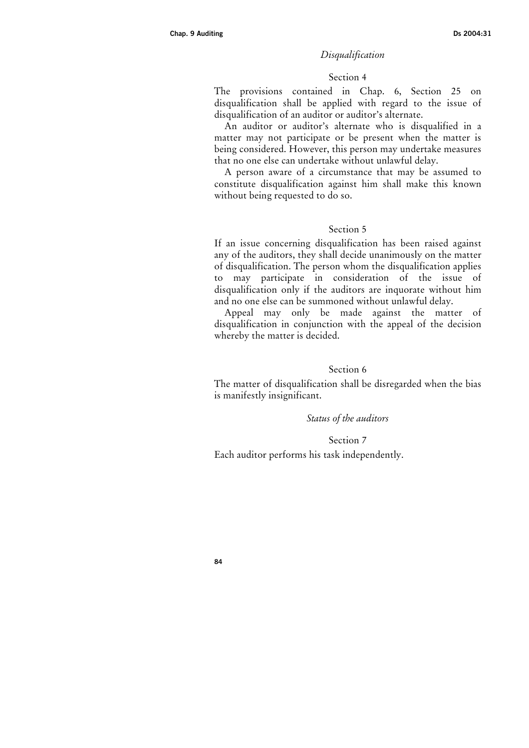#### Disqualification

#### Section 4

The provisions contained in Chap. 6, Section 25 on disqualification shall be applied with regard to the issue of disqualification of an auditor or auditor's alternate.

An auditor or auditor's alternate who is disqualified in a matter may not participate or be present when the matter is being considered. However, this person may undertake measures that no one else can undertake without unlawful delay.

A person aware of a circumstance that may be assumed to constitute disqualification against him shall make this known without being requested to do so.

## Section 5

If an issue concerning disqualification has been raised against any of the auditors, they shall decide unanimously on the matter of disqualification. The person whom the disqualification applies to may participate in consideration of the issue of disqualification only if the auditors are inquorate without him and no one else can be summoned without unlawful delay.

Appeal may only be made against the matter of disqualification in conjunction with the appeal of the decision whereby the matter is decided.

## Section 6

The matter of disqualification shall be disregarded when the bias is manifestly insignificant.

#### Status of the auditors

#### Section 7

Each auditor performs his task independently.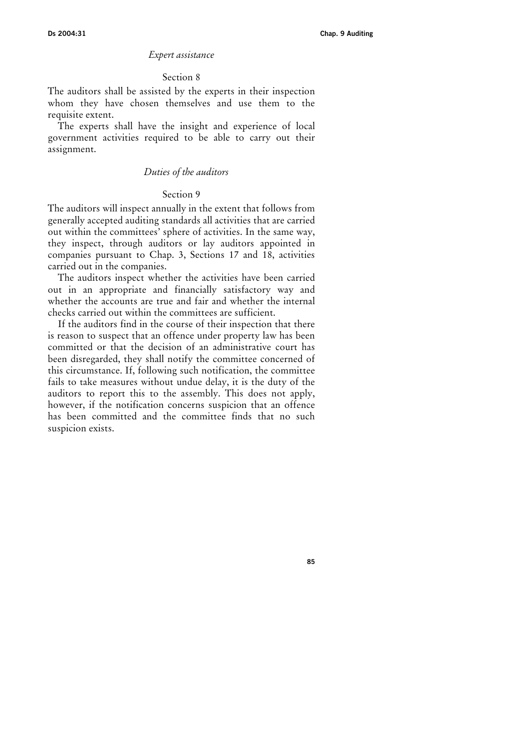#### Expert assistance

#### Section 8

The auditors shall be assisted by the experts in their inspection whom they have chosen themselves and use them to the requisite extent.

The experts shall have the insight and experience of local government activities required to be able to carry out their assignment.

# Duties of the auditors

## Section 9

The auditors will inspect annually in the extent that follows from generally accepted auditing standards all activities that are carried out within the committees' sphere of activities. In the same way, they inspect, through auditors or lay auditors appointed in companies pursuant to Chap. 3, Sections 17 and 18, activities carried out in the companies.

The auditors inspect whether the activities have been carried out in an appropriate and financially satisfactory way and whether the accounts are true and fair and whether the internal checks carried out within the committees are sufficient.

If the auditors find in the course of their inspection that there is reason to suspect that an offence under property law has been committed or that the decision of an administrative court has been disregarded, they shall notify the committee concerned of this circumstance. If, following such notification, the committee fails to take measures without undue delay, it is the duty of the auditors to report this to the assembly. This does not apply, however, if the notification concerns suspicion that an offence has been committed and the committee finds that no such suspicion exists.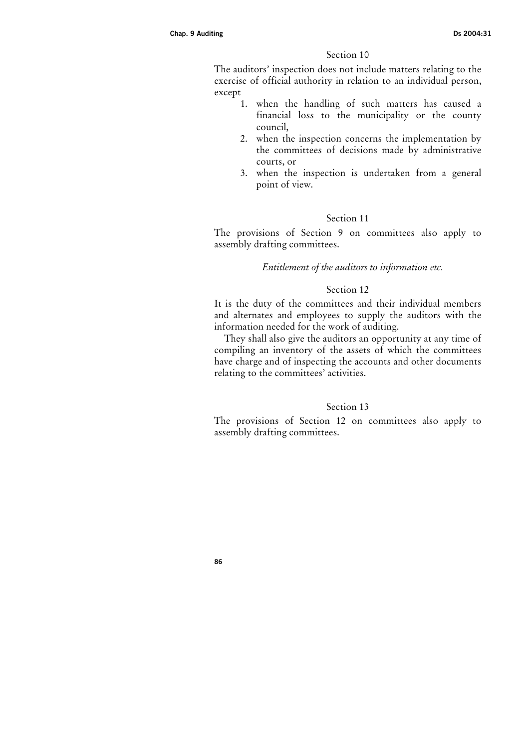# Section 10

The auditors' inspection does not include matters relating to the exercise of official authority in relation to an individual person, except

- 1. when the handling of such matters has caused a financial loss to the municipality or the county council,
- 2. when the inspection concerns the implementation by the committees of decisions made by administrative courts, or
- 3. when the inspection is undertaken from a general point of view.

## Section 11

The provisions of Section 9 on committees also apply to assembly drafting committees.

# Entitlement of the auditors to information etc.

# Section 12

It is the duty of the committees and their individual members and alternates and employees to supply the auditors with the information needed for the work of auditing.

They shall also give the auditors an opportunity at any time of compiling an inventory of the assets of which the committees have charge and of inspecting the accounts and other documents relating to the committees' activities.

## Section 13

The provisions of Section 12 on committees also apply to assembly drafting committees.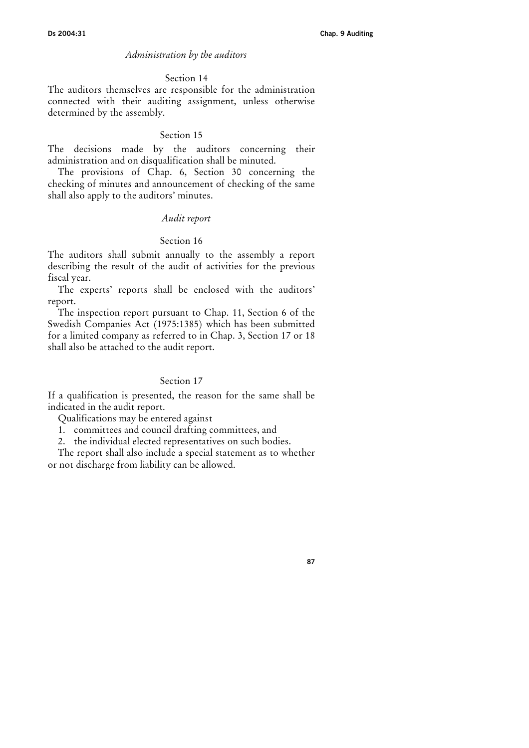#### Administration by the auditors

#### Section 14

The auditors themselves are responsible for the administration connected with their auditing assignment, unless otherwise determined by the assembly.

#### Section 15

The decisions made by the auditors concerning their administration and on disqualification shall be minuted.

The provisions of Chap. 6, Section 30 concerning the checking of minutes and announcement of checking of the same shall also apply to the auditors' minutes.

#### Audit report

#### Section 16

The auditors shall submit annually to the assembly a report describing the result of the audit of activities for the previous fiscal year.

The experts' reports shall be enclosed with the auditors' report.

The inspection report pursuant to Chap. 11, Section 6 of the Swedish Companies Act (1975:1385) which has been submitted for a limited company as referred to in Chap. 3, Section 17 or 18 shall also be attached to the audit report.

## Section 17

If a qualification is presented, the reason for the same shall be indicated in the audit report.

Qualifications may be entered against

1. committees and council drafting committees, and

2. the individual elected representatives on such bodies.

The report shall also include a special statement as to whether or not discharge from liability can be allowed.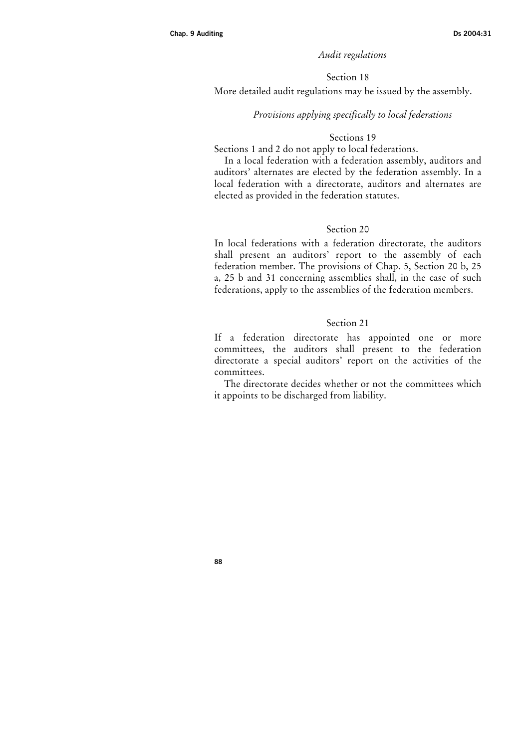## Audit regulations

### Section 18

More detailed audit regulations may be issued by the assembly.

#### Provisions applying specifically to local federations

#### Sections 19

Sections 1 and 2 do not apply to local federations.

In a local federation with a federation assembly, auditors and auditors' alternates are elected by the federation assembly. In a local federation with a directorate, auditors and alternates are elected as provided in the federation statutes.

# Section 20

In local federations with a federation directorate, the auditors shall present an auditors' report to the assembly of each federation member. The provisions of Chap. 5, Section 20 b, 25 a, 25 b and 31 concerning assemblies shall, in the case of such federations, apply to the assemblies of the federation members.

#### Section 21

If a federation directorate has appointed one or more committees, the auditors shall present to the federation directorate a special auditors' report on the activities of the committees.

The directorate decides whether or not the committees which it appoints to be discharged from liability.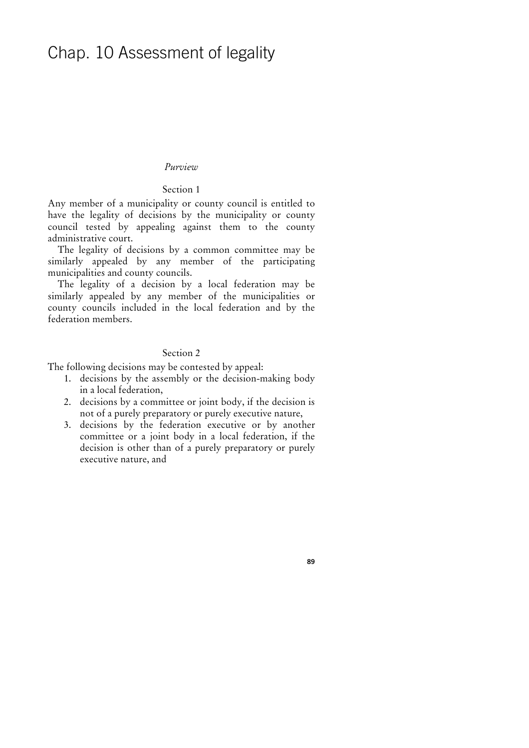# Chap. 10 Assessment of legality

#### Purview

## Section 1

Any member of a municipality or county council is entitled to have the legality of decisions by the municipality or county council tested by appealing against them to the county administrative court.

The legality of decisions by a common committee may be similarly appealed by any member of the participating municipalities and county councils.

The legality of a decision by a local federation may be similarly appealed by any member of the municipalities or county councils included in the local federation and by the federation members.

#### Section 2

The following decisions may be contested by appeal:

- 1. decisions by the assembly or the decision-making body in a local federation,
- 2. decisions by a committee or joint body, if the decision is not of a purely preparatory or purely executive nature,
- 3. decisions by the federation executive or by another committee or a joint body in a local federation, if the decision is other than of a purely preparatory or purely executive nature, and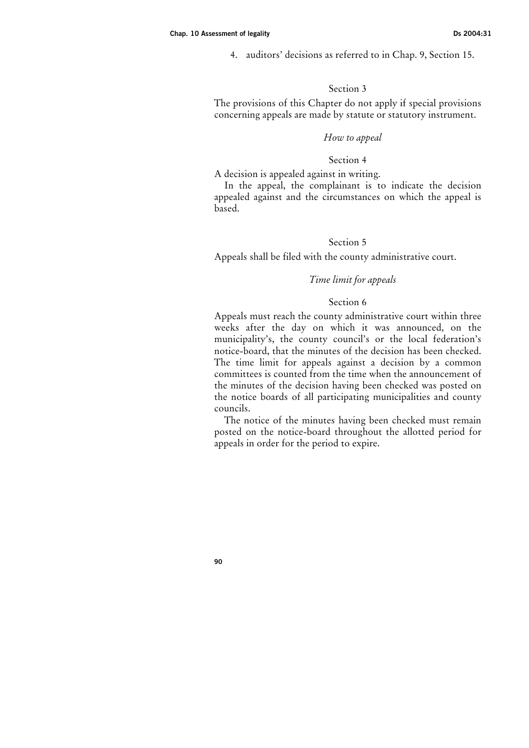4. auditors' decisions as referred to in Chap. 9, Section 15.

## Section 3

The provisions of this Chapter do not apply if special provisions concerning appeals are made by statute or statutory instrument.

## How to appeal

# Section 4

A decision is appealed against in writing.

In the appeal, the complainant is to indicate the decision appealed against and the circumstances on which the appeal is based.

# Section 5

Appeals shall be filed with the county administrative court.

# Time limit for appeals

#### Section 6

Appeals must reach the county administrative court within three weeks after the day on which it was announced, on the municipality's, the county council's or the local federation's notice-board, that the minutes of the decision has been checked. The time limit for appeals against a decision by a common committees is counted from the time when the announcement of the minutes of the decision having been checked was posted on the notice boards of all participating municipalities and county councils.

The notice of the minutes having been checked must remain posted on the notice-board throughout the allotted period for appeals in order for the period to expire.

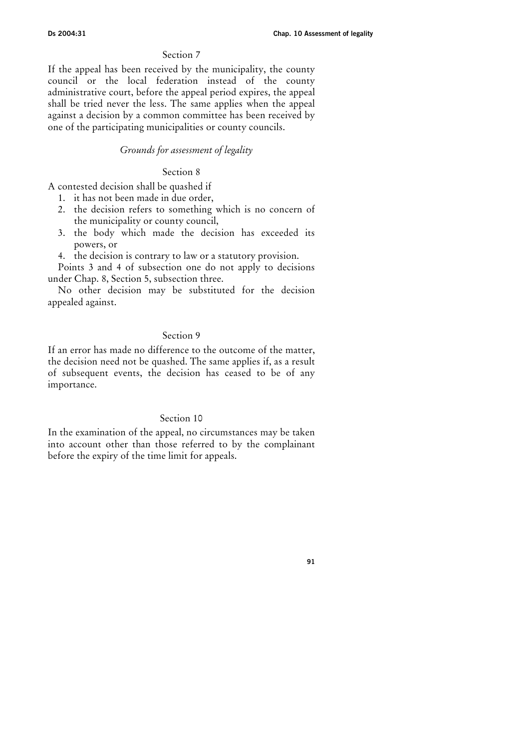# Section 7

If the appeal has been received by the municipality, the county council or the local federation instead of the county administrative court, before the appeal period expires, the appeal shall be tried never the less. The same applies when the appeal against a decision by a common committee has been received by one of the participating municipalities or county councils.

# Grounds for assessment of legality

#### Section 8

A contested decision shall be quashed if

- 1. it has not been made in due order,
- 2. the decision refers to something which is no concern of the municipality or county council,
- 3. the body which made the decision has exceeded its powers, or
- 4. the decision is contrary to law or a statutory provision.

Points 3 and 4 of subsection one do not apply to decisions under Chap. 8, Section 5, subsection three.

No other decision may be substituted for the decision appealed against.

## Section 9

If an error has made no difference to the outcome of the matter, the decision need not be quashed. The same applies if, as a result of subsequent events, the decision has ceased to be of any importance.

#### Section 10

In the examination of the appeal, no circumstances may be taken into account other than those referred to by the complainant before the expiry of the time limit for appeals.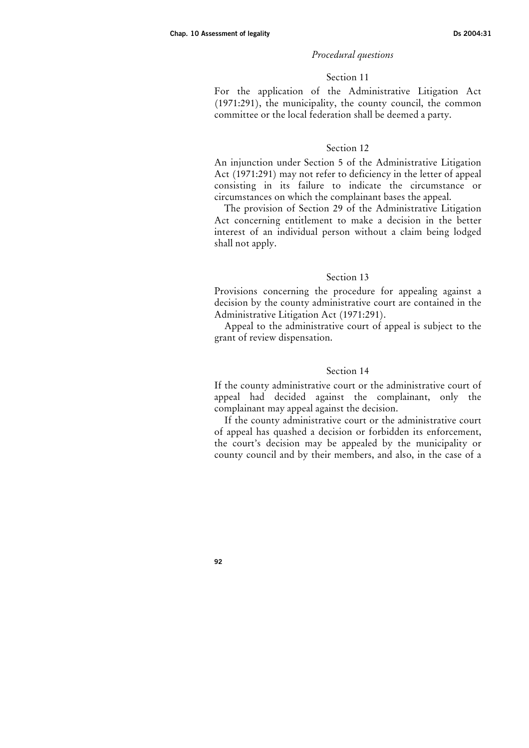#### Procedural questions

## Section 11

For the application of the Administrative Litigation Act (1971:291), the municipality, the county council, the common committee or the local federation shall be deemed a party.

#### Section 12

An injunction under Section 5 of the Administrative Litigation Act (1971:291) may not refer to deficiency in the letter of appeal consisting in its failure to indicate the circumstance or circumstances on which the complainant bases the appeal.

The provision of Section 29 of the Administrative Litigation Act concerning entitlement to make a decision in the better interest of an individual person without a claim being lodged shall not apply.

#### Section 13

Provisions concerning the procedure for appealing against a decision by the county administrative court are contained in the Administrative Litigation Act (1971:291).

Appeal to the administrative court of appeal is subject to the grant of review dispensation.

#### Section 14

If the county administrative court or the administrative court of appeal had decided against the complainant, only the complainant may appeal against the decision.

If the county administrative court or the administrative court of appeal has quashed a decision or forbidden its enforcement, the court's decision may be appealed by the municipality or county council and by their members, and also, in the case of a